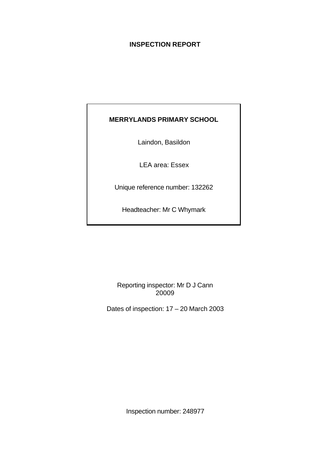# **INSPECTION REPORT**

# **MERRYLANDS PRIMARY SCHOOL**

Laindon, Basildon

LEA area: Essex

Unique reference number: 132262

Headteacher: Mr C Whymark

Reporting inspector: Mr D J Cann 20009

Dates of inspection: 17 – 20 March 2003

Inspection number: 248977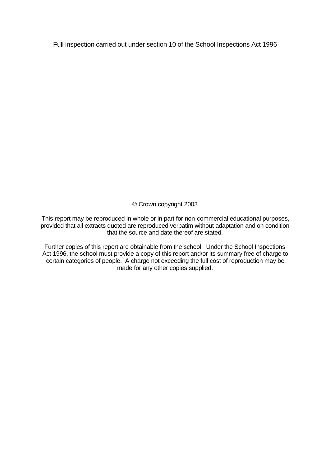Full inspection carried out under section 10 of the School Inspections Act 1996

© Crown copyright 2003

This report may be reproduced in whole or in part for non-commercial educational purposes, provided that all extracts quoted are reproduced verbatim without adaptation and on condition that the source and date thereof are stated.

Further copies of this report are obtainable from the school. Under the School Inspections Act 1996, the school must provide a copy of this report and/or its summary free of charge to certain categories of people. A charge not exceeding the full cost of reproduction may be made for any other copies supplied.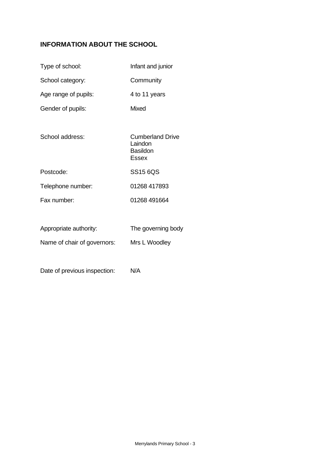# **INFORMATION ABOUT THE SCHOOL**

| Type of school:             | Infant and junior                                                     |
|-----------------------------|-----------------------------------------------------------------------|
| School category:            | Community                                                             |
| Age range of pupils:        | 4 to 11 years                                                         |
| Gender of pupils:           | Mixed                                                                 |
|                             |                                                                       |
| School address:             | <b>Cumberland Drive</b><br>Laindon<br><b>Basildon</b><br><b>Essex</b> |
| Postcode:                   | SS15 6QS                                                              |
| Telephone number:           | 01268 417893                                                          |
| Fax number:                 | 01268 491664                                                          |
|                             |                                                                       |
| Appropriate authority:      | The governing body                                                    |
| Name of chair of governors: | Mrs L Woodley                                                         |
|                             |                                                                       |

Date of previous inspection: N/A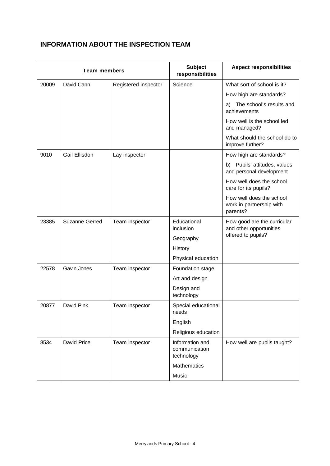# **INFORMATION ABOUT THE INSPECTION TEAM**

| <b>Team members</b> |                       |                      | <b>Subject</b><br>responsibilities             | <b>Aspect responsibilities</b>                                   |
|---------------------|-----------------------|----------------------|------------------------------------------------|------------------------------------------------------------------|
| 20009               | David Cann            | Registered inspector | Science                                        | What sort of school is it?                                       |
|                     |                       |                      |                                                | How high are standards?                                          |
|                     |                       |                      |                                                | The school's results and<br>a)<br>achievements                   |
|                     |                       |                      |                                                | How well is the school led<br>and managed?                       |
|                     |                       |                      |                                                | What should the school do to<br>improve further?                 |
| 9010                | Gail Ellisdon         | Lay inspector        |                                                | How high are standards?                                          |
|                     |                       |                      |                                                | Pupils' attitudes, values<br>b)<br>and personal development      |
|                     |                       |                      |                                                | How well does the school<br>care for its pupils?                 |
|                     |                       |                      |                                                | How well does the school<br>work in partnership with<br>parents? |
| 23385               | <b>Suzanne Gerred</b> | Team inspector       | Educational<br>inclusion                       | How good are the curricular<br>and other opportunities           |
|                     |                       |                      | Geography                                      | offered to pupils?                                               |
|                     |                       |                      | History                                        |                                                                  |
|                     |                       |                      | Physical education                             |                                                                  |
| 22578               | Gavin Jones           | Team inspector       | Foundation stage                               |                                                                  |
|                     |                       |                      | Art and design                                 |                                                                  |
|                     |                       |                      | Design and<br>technology                       |                                                                  |
| 20877               | David Pink            | Team inspector       | Special educational<br>needs                   |                                                                  |
|                     |                       |                      | English                                        |                                                                  |
|                     |                       |                      | Religious education                            |                                                                  |
| 8534                | David Price           | Team inspector       | Information and<br>communication<br>technology | How well are pupils taught?                                      |
|                     |                       |                      | Mathematics                                    |                                                                  |
|                     |                       |                      | Music                                          |                                                                  |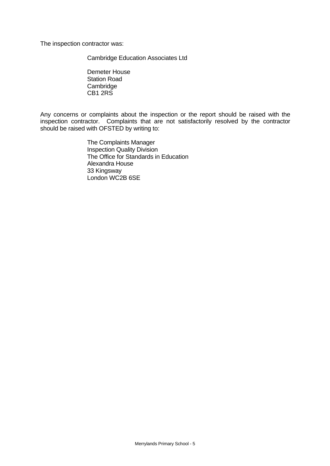The inspection contractor was:

Cambridge Education Associates Ltd

Demeter House Station Road Cambridge CB1 2RS

Any concerns or complaints about the inspection or the report should be raised with the inspection contractor. Complaints that are not satisfactorily resolved by the contractor should be raised with OFSTED by writing to:

> The Complaints Manager Inspection Quality Division The Office for Standards in Education Alexandra House 33 Kingsway London WC2B 6SE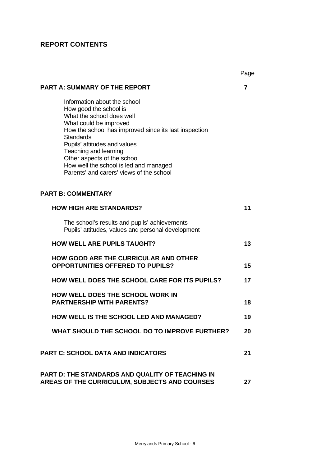# **REPORT CONTENTS**

|                                                                                                                                                                                                                                                                                                                                                                          | Page |
|--------------------------------------------------------------------------------------------------------------------------------------------------------------------------------------------------------------------------------------------------------------------------------------------------------------------------------------------------------------------------|------|
| <b>PART A: SUMMARY OF THE REPORT</b>                                                                                                                                                                                                                                                                                                                                     | 7    |
| Information about the school<br>How good the school is<br>What the school does well<br>What could be improved<br>How the school has improved since its last inspection<br><b>Standards</b><br>Pupils' attitudes and values<br>Teaching and learning<br>Other aspects of the school<br>How well the school is led and managed<br>Parents' and carers' views of the school |      |
| <b>PART B: COMMENTARY</b>                                                                                                                                                                                                                                                                                                                                                |      |
| <b>HOW HIGH ARE STANDARDS?</b>                                                                                                                                                                                                                                                                                                                                           | 11   |
| The school's results and pupils' achievements<br>Pupils' attitudes, values and personal development                                                                                                                                                                                                                                                                      |      |
| <b>HOW WELL ARE PUPILS TAUGHT?</b>                                                                                                                                                                                                                                                                                                                                       | 13   |
| <b>HOW GOOD ARE THE CURRICULAR AND OTHER</b><br><b>OPPORTUNITIES OFFERED TO PUPILS?</b>                                                                                                                                                                                                                                                                                  | 15   |
| <b>HOW WELL DOES THE SCHOOL CARE FOR ITS PUPILS?</b>                                                                                                                                                                                                                                                                                                                     | 17   |
| HOW WELL DOES THE SCHOOL WORK IN<br><b>PARTNERSHIP WITH PARENTS?</b>                                                                                                                                                                                                                                                                                                     | 18   |
| <b>HOW WELL IS THE SCHOOL LED AND MANAGED?</b>                                                                                                                                                                                                                                                                                                                           | 19   |
| WHAT SHOULD THE SCHOOL DO TO IMPROVE FURTHER?                                                                                                                                                                                                                                                                                                                            | 20   |
| <b>PART C: SCHOOL DATA AND INDICATORS</b>                                                                                                                                                                                                                                                                                                                                | 21   |
| <b>PART D: THE STANDARDS AND QUALITY OF TEACHING IN</b><br>AREAS OF THE CURRICULUM, SUBJECTS AND COURSES                                                                                                                                                                                                                                                                 | 27   |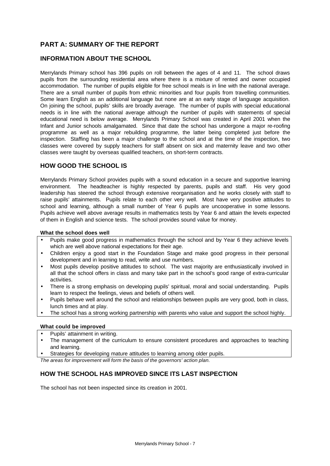# **PART A: SUMMARY OF THE REPORT**

## **INFORMATION ABOUT THE SCHOOL**

Merrylands Primary school has 396 pupils on roll between the ages of 4 and 11. The school draws pupils from the surrounding residential area where there is a mixture of rented and owner occupied accommodation. The number of pupils eligible for free school meals is in line with the national average. There are a small number of pupils from ethnic minorities and four pupils from travelling communities. Some learn English as an additional language but none are at an early stage of language acquisition. On joining the school, pupils' skills are broadly average. The number of pupils with special educational needs is in line with the national average although the number of pupils with statements of special educational need is below average. Merrylands Primary School was created in April 2001 when the Infant and Junior schools amalgamated. Since that date the school has undergone a major re-roofing programme as well as a major rebuilding programme, the latter being completed just before the inspection. Staffing has been a major challenge to the school and at the time of the inspection, two classes were covered by supply teachers for staff absent on sick and maternity leave and two other classes were taught by overseas qualified teachers, on short-term contracts.

## **HOW GOOD THE SCHOOL IS**

Merrylands Primary School provides pupils with a sound education in a secure and supportive learning environment. The headteacher is highly respected by parents, pupils and staff. His very good leadership has steered the school through extensive reorganisation and he works closely with staff to raise pupils' attainments. Pupils relate to each other very well. Most have very positive attitudes to school and learning, although a small number of Year 6 pupils are uncooperative in some lessons. Pupils achieve well above average results in mathematics tests by Year 6 and attain the levels expected of them in English and science tests. The school provides sound value for money.

#### **What the school does well**

- Pupils make good progress in mathematics through the school and by Year 6 they achieve levels which are well above national expectations for their age.
- Children enjoy a good start in the Foundation Stage and make good progress in their personal development and in learning to read, write and use numbers.
- Most pupils develop positive attitudes to school. The vast majority are enthusiastically involved in all that the school offers in class and many take part in the school's good range of extra-curricular activities.
- There is a strong emphasis on developing pupils' spiritual, moral and social understanding. Pupils learn to respect the feelings, views and beliefs of others well.
- Pupils behave well around the school and relationships between pupils are very good, both in class, lunch times and at play.
- The school has a strong working partnership with parents who value and support the school highly.

#### **What could be improved**

- Pupils' attainment in writing.
- The management of the curriculum to ensure consistent procedures and approaches to teaching and learning.
- Strategies for developing mature attitudes to learning among older pupils.

*The areas for improvement will form the basis of the governors' action plan.*

# **HOW THE SCHOOL HAS IMPROVED SINCE ITS LAST INSPECTION**

The school has not been inspected since its creation in 2001.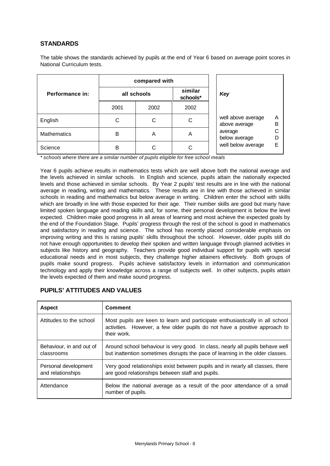## **STANDARDS**

The table shows the standards achieved by pupils at the end of Year 6 based on average point scores in National Curriculum tests.

|                    | compared with |                     |      |  |  |
|--------------------|---------------|---------------------|------|--|--|
| Performance in:    | all schools   | similar<br>schools* |      |  |  |
|                    | 2001          | 2002                | 2002 |  |  |
| English            |               | С                   | C    |  |  |
| <b>Mathematics</b> | B             | Α                   | A    |  |  |
| Science            | в             |                     |      |  |  |

| Key                                                                                   |                       |
|---------------------------------------------------------------------------------------|-----------------------|
| well above average<br>above average<br>average<br>below average<br>well below average | А<br>в<br>С<br>D<br>F |

*\* schools where there are a similar number of pupils eligible for free school meals*

Year 6 pupils achieve results in mathematics tests which are well above both the national average and the levels achieved in similar schools. In English and science, pupils attain the nationally expected levels and those achieved in similar schools. By Year 2 pupils' test results are in line with the national average in reading, writing and mathematics. These results are in line with those achieved in similar schools in reading and mathematics but below average in writing. Children enter the school with skills which are broadly in line with those expected for their age. Their number skills are good but many have limited spoken language and reading skills and, for some, their personal development is below the level expected. Children make good progress in all areas of learning and most achieve the expected goals by the end of the Foundation Stage. Pupils' progress through the rest of the school is good in mathematics and satisfactory in reading and science. The school has recently placed considerable emphasis on improving writing and this is raising pupils' skills throughout the school. However, older pupils still do not have enough opportunities to develop their spoken and written language through planned activities in subjects like history and geography. Teachers provide good individual support for pupils with special educational needs and in most subjects, they challenge higher attainers effectively. Both groups of pupils make sound progress. Pupils achieve satisfactory levels in information and communication technology and apply their knowledge across a range of subjects well. In other subjects, pupils attain the levels expected of them and make sound progress.

| <b>Aspect</b>                             | <b>Comment</b>                                                                                                                                                            |
|-------------------------------------------|---------------------------------------------------------------------------------------------------------------------------------------------------------------------------|
| Attitudes to the school                   | Most pupils are keen to learn and participate enthusiastically in all school<br>activities. However, a few older pupils do not have a positive approach to<br>their work. |
| Behaviour, in and out of<br>classrooms    | Around school behaviour is very good. In class, nearly all pupils behave well<br>but inattention sometimes disrupts the pace of learning in the older classes.            |
| Personal development<br>and relationships | Very good relationships exist between pupils and in nearly all classes, there<br>are good relationships between staff and pupils.                                         |
| Attendance                                | Below the national average as a result of the poor attendance of a small<br>number of pupils.                                                                             |

## **PUPILS' ATTITUDES AND VALUES**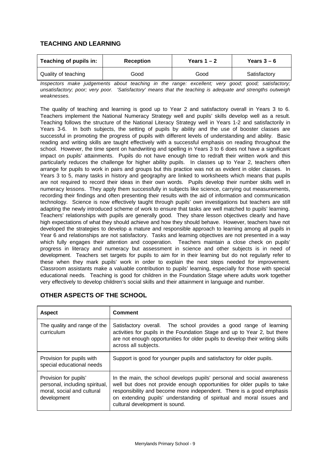# **TEACHING AND LEARNING**

| Teaching of pupils in: | <b>Reception</b> | Years $1 - 2$ | Years $3-6$  |  |
|------------------------|------------------|---------------|--------------|--|
| Quality of teaching    | Good             | Good          | Satisfactory |  |

*Inspectors make judgements about teaching in the range: excellent; very good; good; satisfactory; unsatisfactory; poor; very poor. 'Satisfactory' means that the teaching is adequate and strengths outweigh weaknesses.*

The quality of teaching and learning is good up to Year 2 and satisfactory overall in Years 3 to 6. Teachers implement the National Numeracy Strategy well and pupils' skills develop well as a result. Teaching follows the structure of the National Literacy Strategy well in Years 1-2 and satisfactorily in Years 3-6. In both subjects, the setting of pupils by ability and the use of booster classes are successful in promoting the progress of pupils with different levels of understanding and ability. Basic reading and writing skills are taught effectively with a successful emphasis on reading throughout the school. However, the time spent on handwriting and spelling in Years 3 to 6 does not have a significant impact on pupils' attainments. Pupils do not have enough time to redraft their written work and this particularly reduces the challenge for higher ability pupils. In classes up to Year 2, teachers often arrange for pupils to work in pairs and groups but this practice was not as evident in older classes. In Years 3 to 5, many tasks in history and geography are linked to worksheets which means that pupils are not required to record their ideas in their own words. Pupils develop their number skills well in numeracy lessons. They apply them successfully in subjects like science, carrying out measurements, recording their findings and often presenting their results with the aid of information and communication technology. Science is now effectively taught through pupils' own investigations but teachers are still adapting the newly introduced scheme of work to ensure that tasks are well matched to pupils' learning. Teachers' relationships with pupils are generally good. They share lesson objectives clearly and have high expectations of what they should achieve and how they should behave. However, teachers have not developed the strategies to develop a mature and responsible approach to learning among all pupils in Year 6 and relationships are not satisfactory. Tasks and learning objectives are not presented in a way which fully engages their attention and cooperation. Teachers maintain a close check on pupils' progress in literacy and numeracy but assessment in science and other subjects is in need of development*.* Teachers set targets for pupils to aim for in their learning but do not regularly refer to these when they mark pupils' work in order to explain the next steps needed for improvement. Classroom assistants make a valuable contribution to pupils' learning, especially for those with special educational needs. Teaching is good for children in the Foundation Stage where adults work together very effectively to develop children's social skills and their attainment in language and number.

| <b>Aspect</b>                                                                                        | <b>Comment</b>                                                                                                                                                                                                                                                                                                                      |
|------------------------------------------------------------------------------------------------------|-------------------------------------------------------------------------------------------------------------------------------------------------------------------------------------------------------------------------------------------------------------------------------------------------------------------------------------|
| The quality and range of the<br>curriculum                                                           | Satisfactory overall. The school provides a good range of learning<br>activities for pupils in the Foundation Stage and up to Year 2, but there<br>are not enough opportunities for older pupils to develop their writing skills<br>across all subjects.                                                                            |
| Provision for pupils with<br>special educational needs                                               | Support is good for younger pupils and satisfactory for older pupils.                                                                                                                                                                                                                                                               |
| Provision for pupils'<br>personal, including spiritual,<br>moral, social and cultural<br>development | In the main, the school develops pupils' personal and social awareness<br>well but does not provide enough opportunities for older pupils to take<br>responsibility and become more independent. There is a good emphasis<br>on extending pupils' understanding of spiritual and moral issues and<br>cultural development is sound. |

# **OTHER ASPECTS OF THE SCHOOL**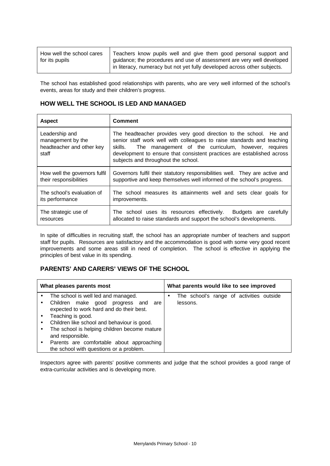| How well the school cares | Teachers know pupils well and give them good personal support and        |
|---------------------------|--------------------------------------------------------------------------|
| for its pupils            | quidance; the procedures and use of assessment are very well developed   |
|                           | in literacy, numeracy but not yet fully developed across other subjects. |

The school has established good relationships with parents, who are very well informed of the school's events, areas for study and their children's progress.

## **HOW WELL THE SCHOOL IS LED AND MANAGED**

| <b>Aspect</b>                                                             | <b>Comment</b>                                                                                                                                                                                                                                                                                                                  |
|---------------------------------------------------------------------------|---------------------------------------------------------------------------------------------------------------------------------------------------------------------------------------------------------------------------------------------------------------------------------------------------------------------------------|
| Leadership and<br>management by the<br>headteacher and other key<br>staff | The headteacher provides very good direction to the school. He and<br>senior staff work well with colleagues to raise standards and teaching<br>The management of the curriculum, however, requires<br>skills.<br>development to ensure that consistent practices are established across<br>subjects and throughout the school. |
| How well the governors fulfil                                             | Governors fulfil their statutory responsibilities well. They are active and                                                                                                                                                                                                                                                     |
| their responsibilities                                                    | supportive and keep themselves well informed of the school's progress.                                                                                                                                                                                                                                                          |
| The school's evaluation of                                                | The school measures its attainments well and sets clear goals for                                                                                                                                                                                                                                                               |
| its performance                                                           | improvements.                                                                                                                                                                                                                                                                                                                   |
| The strategic use of                                                      | The school uses its resources effectively. Budgets are carefully                                                                                                                                                                                                                                                                |
| resources                                                                 | allocated to raise standards and support the school's developments.                                                                                                                                                                                                                                                             |

In spite of difficulties in recruiting staff, the school has an appropriate number of teachers and support staff for pupils. Resources are satisfactory and the accommodation is good with some very good recent improvements and some areas still in need of completion. The school is effective in applying the principles of best value in its spending.

# **PARENTS' AND CARERS' VIEWS OF THE SCHOOL**

| What pleases parents most |                                              |   | What parents would like to see improved  |  |  |
|---------------------------|----------------------------------------------|---|------------------------------------------|--|--|
|                           | The school is well led and managed.          | ٠ | The school's range of activities outside |  |  |
|                           | Children make good progress and are          |   | lessons.                                 |  |  |
|                           | expected to work hard and do their best.     |   |                                          |  |  |
|                           | Teaching is good.                            |   |                                          |  |  |
| $\bullet$                 | Children like school and behaviour is good.  |   |                                          |  |  |
|                           | The school is helping children become mature |   |                                          |  |  |
|                           | and responsible.                             |   |                                          |  |  |
|                           | Parents are comfortable about approaching    |   |                                          |  |  |
|                           | the school with questions or a problem.      |   |                                          |  |  |

Inspectors agree with parents' positive comments and judge that the school provides a good range of extra-curricular activities and is developing more.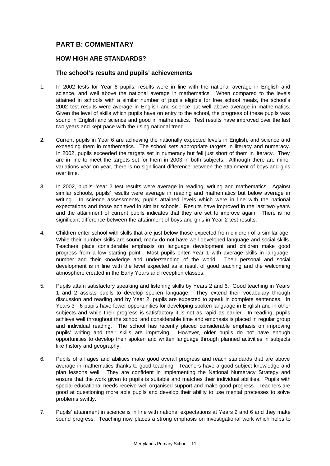# **PART B: COMMENTARY**

#### **HOW HIGH ARE STANDARDS?**

#### **The school's results and pupils' achievements**

- 1. In 2002 tests for Year 6 pupils, results were in line with the national average in English and science, and well above the national average in mathematics. When compared to the levels attained in schools with a similar number of pupils eligible for free school meals, the school's 2002 test results were average in English and science but well above average in mathematics. Given the level of skills which pupils have on entry to the school, the progress of these pupils was sound in English and science and good in mathematics. Test results have improved over the last two years and kept pace with the rising national trend.
- 2. Current pupils in Year 6 are achieving the nationally expected levels in English, and science and exceeding them in mathematics. The school sets appropriate targets in literacy and numeracy. In 2002, pupils exceeded the targets set in numeracy but fell just short of them in literacy. They are in line to meet the targets set for them in 2003 in both subjects. Although there are minor variations year on year, there is no significant difference between the attainment of boys and girls over time.
- 3. In 2002, pupils' Year 2 test results were average in reading, writing and mathematics. Against similar schools, pupils' results were average in reading and mathematics but below average in writing. In science assessments, pupils attained levels which were in line with the national expectations and those achieved in similar schools. Results have improved in the last two years and the attainment of current pupils indicates that they are set to improve again. There is no significant difference between the attainment of boys and girls in Year 2 test results.
- 4. Children enter school with skills that are just below those expected from children of a similar age. While their number skills are sound, many do not have well developed language and social skills. Teachers place considerable emphasis on language development and children make good progress from a low starting point. Most pupils enter Year 1 with average skills in language, number and their knowledge and understanding of the world. Their personal and social development is in line with the level expected as a result of good teaching and the welcoming atmosphere created in the Early Years and reception classes.
- 5. Pupils attain satisfactory speaking and listening skills by Years 2 and 6. Good teaching in Years 1 and 2 assists pupils to develop spoken language. They extend their vocabulary through discussion and reading and by Year 2, pupils are expected to speak in complete sentences. In Years 3 - 6 pupils have fewer opportunities for developing spoken language in English and in other subjects and while their progress is satisfactory it is not as rapid as earlier. In reading, pupils achieve well throughout the school and considerable time and emphasis is placed in regular group and individual reading. The school has recently placed considerable emphasis on improving pupils' writing and their skills are improving. However, older pupils do not have enough opportunities to develop their spoken and written language through planned activities in subjects like history and geography.
- 6. Pupils of all ages and abilities make good overall progress and reach standards that are above average in mathematics thanks to good teaching. Teachers have a good subject knowledge and plan lessons well. They are confident in implementing the National Numeracy Strategy and ensure that the work given to pupils is suitable and matches their individual abilities. Pupils with special educational needs receive well organised support and make good progress. Teachers are good at questioning more able pupils and develop their ability to use mental processes to solve problems swiftly.
- 7. Pupils' attainment in science is in line with national expectations at Years 2 and 6 and they make sound progress. Teaching now places a strong emphasis on investigational work which helps to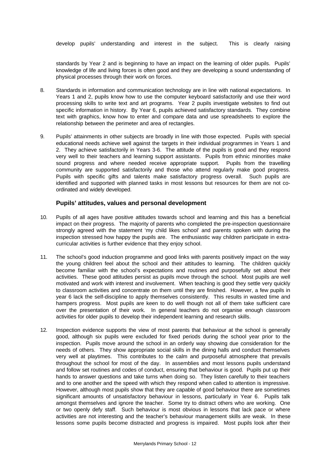develop pupils' understanding and interest in the subject. This is clearly raising

standards by Year 2 and is beginning to have an impact on the learning of older pupils. Pupils' knowledge of life and living forces is often good and they are developing a sound understanding of physical processes through their work on forces.

- 8. Standards in information and communication technology are in line with national expectations. In Years 1 and 2, pupils know how to use the computer keyboard satisfactorily and use their word processing skills to write text and art programs. Year 2 pupils investigate websites to find out specific information in history. By Year 6, pupils achieved satisfactory standards. They combine text with graphics, know how to enter and compare data and use spreadsheets to explore the relationship between the perimeter and area of rectangles.
- 9. Pupils' attainments in other subjects are broadly in line with those expected. Pupils with special educational needs achieve well against the targets in their individual programmes in Years 1 and 2. They achieve satisfactorily in Years 3-6. The attitude of the pupils is good and they respond very well to their teachers and learning support assistants. Pupils from ethnic minorities make sound progress and where needed receive appropriate support. Pupils from the travelling community are supported satisfactorily and those who attend regularly make good progress. Pupils with specific gifts and talents make satisfactory progress overall. Such pupils are identified and supported with planned tasks in most lessons but resources for them are not coordinated and widely developed.

#### **Pupils' attitudes, values and personal development**

- 10. Pupils of all ages have positive attitudes towards school and learning and this has a beneficial impact on their progress. The majority of parents who completed the pre-inspection questionnaire strongly agreed with the statement 'my child likes school' and parents spoken with during the inspection stressed how happy the pupils are. The enthusiastic way children participate in extracurricular activities is further evidence that they enjoy school.
- 11. The school's good induction programme and good links with parents positively impact on the way the young children feel about the school and their attitudes to learning. The children quickly become familiar with the school's expectations and routines and purposefully set about their activities. These good attitudes persist as pupils move through the school. Most pupils are well motivated and work with interest and involvement. When teaching is good they settle very quickly to classroom activities and concentrate on them until they are finished. However, a few pupils in year 6 lack the self-discipline to apply themselves consistently. This results in wasted time and hampers progress. Most pupils are keen to do well though not all of them take sufficient care over the presentation of their work. In general teachers do not organise enough classroom activities for older pupils to develop their independent learning and research skills.
- 12. Inspection evidence supports the view of most parents that behaviour at the school is generally good, although six pupils were excluded for fixed periods during the school year prior to the inspection. Pupils move around the school in an orderly way showing due consideration for the needs of others. They show appropriate social skills in the dining halls and conduct themselves very well at playtimes. This contributes to the calm and purposeful atmosphere that prevails throughout the school for most of the day. In assemblies and most lessons pupils understand and follow set routines and codes of conduct, ensuring that behaviour is good. Pupils put up their hands to answer questions and take turns when doing so. They listen carefully to their teachers and to one another and the speed with which they respond when called to attention is impressive. However, although most pupils show that they are capable of good behaviour there are sometimes significant amounts of unsatisfactory behaviour in lessons, particularly in Year 6. Pupils talk amongst themselves and ignore the teacher. Some try to distract others who are working. One or two openly defy staff. Such behaviour is most obvious in lessons that lack pace or where activities are not interesting and the teacher's behaviour management skills are weak. In these lessons some pupils become distracted and progress is impaired. Most pupils look after their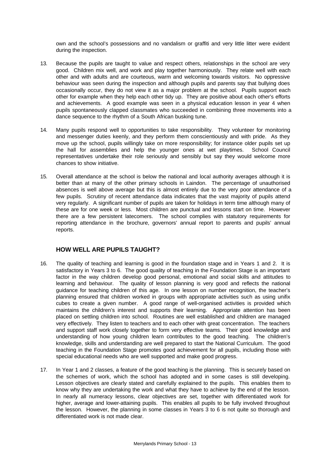own and the school's possessions and no vandalism or graffiti and very little litter were evident during the inspection.

- 13. Because the pupils are taught to value and respect others, relationships in the school are very good. Children mix well, and work and play together harmoniously. They relate well with each other and with adults and are courteous, warm and welcoming towards visitors. No oppressive behaviour was seen during the inspection and although pupils and parents say that bullying does occasionally occur, they do not view it as a major problem at the school. Pupils support each other for example when they help each other tidy up. They are positive about each other's efforts and achievements. A good example was seen in a physical education lesson in year 4 when pupils spontaneously clapped classmates who succeeded in combining three movements into a dance sequence to the rhythm of a South African busking tune.
- 14. Many pupils respond well to opportunities to take responsibility. They volunteer for monitoring and messenger duties keenly, and they perform them conscientiously and with pride. As they move up the school, pupils willingly take on more responsibility; for instance older pupils set up the hall for assemblies and help the younger ones at wet playtimes. School Council representatives undertake their role seriously and sensibly but say they would welcome more chances to show initiative.
- 15. Overall attendance at the school is below the national and local authority averages although it is better than at many of the other primary schools in Laindon. The percentage of unauthorised absences is well above average but this is almost entirely due to the very poor attendance of a few pupils. Scrutiny of recent attendance data indicates that the vast majority of pupils attend very regularly. A significant number of pupils are taken for holidays in term time although many of these are for one week or less. Most children are punctual and lessons start on time. However there are a few persistent latecomers. The school complies with statutory requirements for reporting attendance in the brochure, governors' annual report to parents and pupils' annual reports.

#### **HOW WELL ARE PUPILS TAUGHT?**

- 16. The quality of teaching and learning is good in the foundation stage and in Years 1 and 2. It is satisfactory in Years 3 to 6. The good quality of teaching in the Foundation Stage is an important factor in the way children develop good personal, emotional and social skills and attitudes to learning and behaviour. The quality of lesson planning is very good and reflects the national guidance for teaching children of this age. In one lesson on number recognition, the teacher's planning ensured that children worked in groups with appropriate activities such as using unifix cubes to create a given number. A good range of well-organised activities is provided which maintains the children's interest and supports their learning. Appropriate attention has been placed on settling children into school. Routines are well established and children are managed very effectively. They listen to teachers and to each other with great concentration. The teachers and support staff work closely together to form very effective teams. Their good knowledge and understanding of how young children learn contributes to the good teaching. The children's knowledge, skills and understanding are well prepared to start the National Curriculum. The good teaching in the Foundation Stage promotes good achievement for all pupils, including those with special educational needs who are well supported and make good progress.
- 17. In Year 1 and 2 classes, a feature of the good teaching is the planning. This is securely based on the schemes of work, which the school has adopted and in some cases is still developing. Lesson objectives are clearly stated and carefully explained to the pupils. This enables them to know why they are undertaking the work and what they have to achieve by the end of the lesson. In nearly all numeracy lessons, clear objectives are set, together with differentiated work for higher, average and lower-attaining pupils. This enables all pupils to be fully involved throughout the lesson. However, the planning in some classes in Years 3 to 6 is not quite so thorough and differentiated work is not made clear.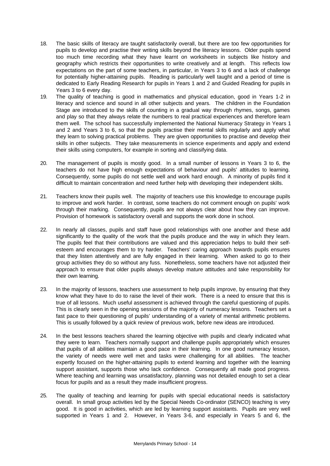- 18. The basic skills of literacy are taught satisfactorily overall, but there are too few opportunities for pupils to develop and practise their writing skills beyond the literacy lessons. Older pupils spend too much time recording what they have learnt on worksheets in subjects like history and geography which restricts their opportunities to write creatively and at length. This reflects low expectations on the part of some teachers, in particular, in Years 3 to 6 and a lack of challenge for potentially higher-attaining pupils. Reading is particularly well taught and a period of time is dedicated to Early Reading Research for pupils in Years 1 and 2 and Guided Reading for pupils in Years 3 to 6 every day.
- 19. The quality of teaching is good in mathematics and physical education, good in Years 1-2 in literacy and science and sound in all other subjects and years. The children in the Foundation Stage are introduced to the skills of counting in a gradual way through rhymes, songs, games and play so that they always relate the numbers to real practical experiences and therefore learn them well. The school has successfully implemented the National Numeracy Strategy in Years 1 and 2 and Years 3 to 6, so that the pupils practise their mental skills regularly and apply what they learn to solving practical problems. They are given opportunities to practise and develop their skills in other subjects. They take measurements in science experiments and apply and extend their skills using computers, for example in sorting and classifying data.
- 20. The management of pupils is mostly good. In a small number of lessons in Years 3 to 6, the teachers do not have high enough expectations of behaviour and pupils' attitudes to learning. Consequently, some pupils do not settle well and work hard enough. A minority of pupils find it difficult to maintain concentration and need further help with developing their independent skills.
- 21. Teachers know their pupils well. The majority of teachers use this knowledge to encourage pupils to improve and work harder. In contrast, some teachers do not comment enough on pupils' work through their marking. Consequently, pupils are not always clear about how they can improve. Provision of homework is satisfactory overall and supports the work done in school.
- 22. In nearly all classes, pupils and staff have good relationships with one another and these add significantly to the quality of the work that the pupils produce and the way in which they learn. The pupils feel that their contributions are valued and this appreciation helps to build their selfesteem and encourages them to try harder. Teachers' caring approach towards pupils ensures that they listen attentively and are fully engaged in their learning. When asked to go to their group activities they do so without any fuss. Nonetheless, some teachers have not adjusted their approach to ensure that older pupils always develop mature attitudes and take responsibility for their own learning.
- 23. In the majority of lessons, teachers use assessment to help pupils improve, by ensuring that they know what they have to do to raise the level of their work. There is a need to ensure that this is true of all lessons. Much useful assessment is achieved through the careful questioning of pupils. This is clearly seen in the opening sessions of the majority of numeracy lessons. Teachers set a fast pace to their questioning of pupils' understanding of a variety of mental arithmetic problems. This is usually followed by a quick review of previous work, before new ideas are introduced.
- 24. In the best lessons teachers shared the learning objective with pupils and clearly indicated what they were to learn. Teachers normally support and challenge pupils appropriately which ensures that pupils of all abilities maintain a good pace in their learning. In one good numeracy lesson, the variety of needs were well met and tasks were challenging for all abilities. The teacher expertly focused on the higher-attaining pupils to extend learning and together with the learning support assistant, supports those who lack confidence. Consequently all made good progress. Where teaching and learning was unsatisfactory, planning was not detailed enough to set a clear focus for pupils and as a result they made insufficient progress.
- 25. The quality of teaching and learning for pupils with special educational needs is satisfactory overall. In small group activities led by the Special Needs Co-ordinator (SENCO) teaching is very good. It is good in activities, which are led by learning support assistants. Pupils are very well supported in Years 1 and 2. However, in Years 3-6, and especially in Years 5 and 6, the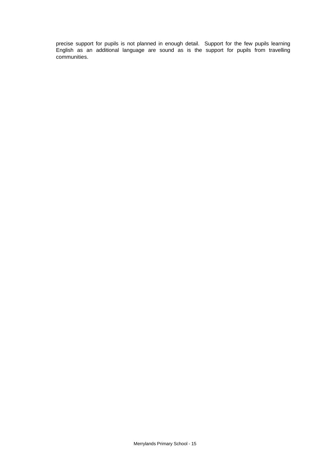precise support for pupils is not planned in enough detail. Support for the few pupils learning English as an additional language are sound as is the support for pupils from travelling communities.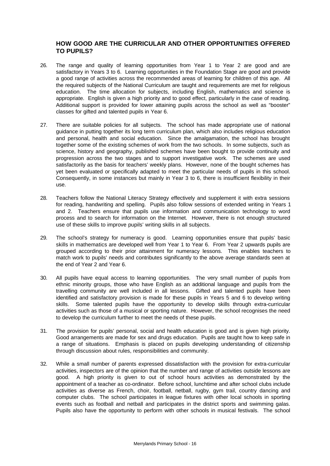#### **HOW GOOD ARE THE CURRICULAR AND OTHER OPPORTUNITIES OFFERED TO PUPILS?**

- 26. The range and quality of learning opportunities from Year 1 to Year 2 are good and are satisfactory in Years 3 to 6. Learning opportunities in the Foundation Stage are good and provide a good range of activities across the recommended areas of learning for children of this age. All the required subjects of the National Curriculum are taught and requirements are met for religious education. The time allocation for subjects, including English, mathematics and science is appropriate. English is given a high priority and to good effect, particularly in the case of reading. Additional support is provided for lower attaining pupils across the school as well as "booster" classes for gifted and talented pupils in Year 6.
- 27. There are suitable policies for all subjects. The school has made appropriate use of national guidance in putting together its long term curriculum plan, which also includes religious education and personal, health and social education. Since the amalgamation, the school has brought together some of the existing schemes of work from the two schools. In some subjects, such as science, history and geography, published schemes have been bought to provide continuity and progression across the two stages and to support investigative work. The schemes are used satisfactorily as the basis for teachers' weekly plans. However, none of the bought schemes has yet been evaluated or specifically adapted to meet the particular needs of pupils in this school. Consequently, in some instances but mainly in Year 3 to 6, there is insufficient flexibility in their use.
- 28. Teachers follow the National Literacy Strategy effectively and supplement it with extra sessions for reading, handwriting and spelling. Pupils also follow sessions of extended writing in Years 1 and 2. Teachers ensure that pupils use information and communication technology to word process and to search for information on the Internet. However, there is not enough structured use of these skills to improve pupils' writing skills in all subjects.
- 29. The school's strategy for numeracy is good. Learning opportunities ensure that pupils' basic skills in mathematics are developed well from Year 1 to Year 6. From Year 2 upwards pupils are grouped according to their prior attainment for numeracy lessons. This enables teachers to match work to pupils' needs and contributes significantly to the above average standards seen at the end of Year 2 and Year 6.
- 30. All pupils have equal access to learning opportunities. The very small number of pupils from ethnic minority groups, those who have English as an additional language and pupils from the travelling community are well included in all lessons. Gifted and talented pupils have been identified and satisfactory provision is made for these pupils in Years 5 and 6 to develop writing skills. Some talented pupils have the opportunity to develop skills through extra-curricular activities such as those of a musical or sporting nature. However, the school recognises the need to develop the curriculum further to meet the needs of these pupils.
- 31. The provision for pupils' personal, social and health education is good and is given high priority. Good arrangements are made for sex and drugs education. Pupils are taught how to keep safe in a range of situations. Emphasis is placed on pupils developing understanding of citizenship through discussion about rules, responsibilities and community.
- 32. While a small number of parents expressed dissatisfaction with the provision for extra-curricular activities, inspectors are of the opinion that the number and range of activities outside lessons are good. A high priority is given to out of school hours activities as demonstrated by the appointment of a teacher as co-ordinator. Before school, lunchtime and after school clubs include activities as diverse as French, choir, football, netball, rugby, gym trail, country dancing and computer clubs. The school participates in league fixtures with other local schools in sporting events such as football and netball and participates in the district sports and swimming galas. Pupils also have the opportunity to perform with other schools in musical festivals. The school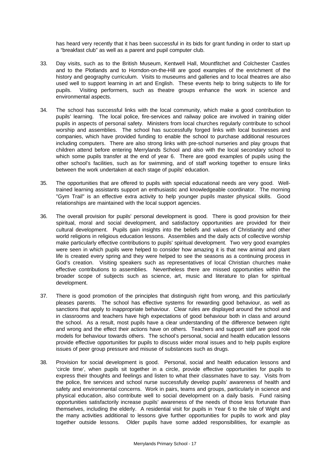has heard very recently that it has been successful in its bids for grant funding in order to start up a "breakfast club" as well as a parent and pupil computer club.

- 33. Day visits, such as to the British Museum, Kentwell Hall, Mountfitchet and Colchester Castles and to the Plotlands and to Horndon-on-the-Hill are good examples of the enrichment of the history and geography curriculum. Visits to museums and galleries and to local theatres are also used well to support learning in art and English. These events help to bring subjects to life for pupils. Visiting performers, such as theatre groups enhance the work in science and environmental aspects.
- 34. The school has successful links with the local community, which make a good contribution to pupils' learning. The local police, fire-services and railway police are involved in training older pupils in aspects of personal safety. Ministers from local churches regularly contribute to school worship and assemblies. The school has successfully forged links with local businesses and companies, which have provided funding to enable the school to purchase additional resources including computers. There are also strong links with pre-school nurseries and play groups that children attend before entering Merrylands School and also with the local secondary school to which some pupils transfer at the end of year 6. There are good examples of pupils using the other school's facilities, such as for swimming, and of staff working together to ensure links between the work undertaken at each stage of pupils' education.
- 35. The opportunities that are offered to pupils with special educational needs are very good. Welltrained learning assistants support an enthusiastic and knowledgeable coordinator. The morning "Gym Trail" is an effective extra activity to help younger pupils master physical skills. Good relationships are maintained with the local support agencies.
- 36. The overall provision for pupils' personal development is good. There is good provision for their spiritual, moral and social development, and satisfactory opportunities are provided for their cultural development. Pupils gain insights into the beliefs and values of Christianity and other world religions in religious education lessons. Assemblies and the daily acts of collective worship make particularly effective contributions to pupils' spiritual development. Two very good examples were seen in which pupils were helped to consider how amazing it is that new animal and plant life is created every spring and they were helped to see the seasons as a continuing process in God's creation. Visiting speakers such as representatives of local Christian churches make effective contributions to assemblies. Nevertheless there are missed opportunities within the broader scope of subjects such as science, art, music and literature to plan for spiritual development.
- 37. There is good promotion of the principles that distinguish right from wrong, and this particularly pleases parents. The school has effective systems for rewarding good behaviour, as well as sanctions that apply to inappropriate behaviour. Clear rules are displayed around the school and in classrooms and teachers have high expectations of good behaviour both in class and around the school. As a result, most pupils have a clear understanding of the difference between right and wrong and the effect their actions have on others. Teachers and support staff are good role models for behaviour towards others. The school's personal, social and health education lessons provide effective opportunities for pupils to discuss wider moral issues and to help pupils explore issues of peer group pressure and misuse of substances such as drugs.
- 38. Provision for social development is good. Personal, social and health education lessons and 'circle time', when pupils sit together in a circle, provide effective opportunities for pupils to express their thoughts and feelings and listen to what their classmates have to say. Visits from the police, fire services and school nurse successfully develop pupils' awareness of health and safety and environmental concerns. Work in pairs, teams and groups, particularly in science and physical education, also contribute well to social development on a daily basis. Fund raising opportunities satisfactorily increase pupils' awareness of the needs of those less fortunate than themselves, including the elderly. A residential visit for pupils in Year 6 to the Isle of Wight and the many activities additional to lessons give further opportunities for pupils to work and play together outside lessons. Older pupils have some added responsibilities, for example as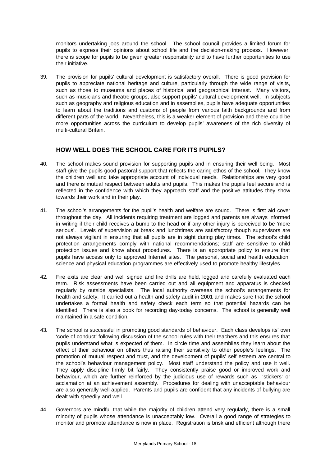monitors undertaking jobs around the school. The school council provides a limited forum for pupils to express their opinions about school life and the decision-making process. However, there is scope for pupils to be given greater responsibility and to have further opportunities to use their initiative.

39. The provision for pupils' cultural development is satisfactory overall. There is good provision for pupils to appreciate national heritage and culture, particularly through the wide range of visits, such as those to museums and places of historical and geographical interest. Many visitors, such as musicians and theatre groups, also support pupils' cultural development well. In subjects such as geography and religious education and in assemblies, pupils have adequate opportunities to learn about the traditions and customs of people from various faith backgrounds and from different parts of the world. Nevertheless, this is a weaker element of provision and there could be more opportunities across the curriculum to develop pupils' awareness of the rich diversity of multi-cultural Britain.

## **HOW WELL DOES THE SCHOOL CARE FOR ITS PUPILS?**

- 40. The school makes sound provision for supporting pupils and in ensuring their well being. Most staff give the pupils good pastoral support that reflects the caring ethos of the school. They know the children well and take appropriate account of individual needs. Relationships are very good and there is mutual respect between adults and pupils. This makes the pupils feel secure and is reflected in the confidence with which they approach staff and the positive attitudes they show towards their work and in their play.
- 41. The school's arrangements for the pupil's health and welfare are sound. There is first aid cover throughout the day. All incidents requiring treatment are logged and parents are always informed in writing if their child receives a bump to the head or if any other injury is perceived to be 'more serious'. Levels of supervision at break and lunchtimes are satisfactory though supervisors are not always vigilant in ensuring that all pupils are in sight during play times. The school's child protection arrangements comply with national recommendations; staff are sensitive to child protection issues and know about procedures. There is an appropriate policy to ensure that pupils have access only to approved Internet sites. The personal, social and health education, science and physical education programmes are effectively used to promote healthy lifestyles.
- 42. Fire exits are clear and well signed and fire drills are held, logged and carefully evaluated each term. Risk assessments have been carried out and all equipment and apparatus is checked regularly by outside specialists. The local authority oversees the school's arrangements for health and safety. It carried out a health and safety audit in 2001 and makes sure that the school undertakes a formal health and safety check each term so that potential hazards can be identified. There is also a book for recording day-today concerns. The school is generally well maintained in a safe condition.
- 43. The school is successful in promoting good standards of behaviour. Each class develops its' own 'code of conduct' following discussion of the school rules with their teachers and this ensures that pupils understand what is expected of them. In circle time and assemblies they learn about the effect of their behaviour on others thus raising their sensitivity to other people's feelings. The promotion of mutual respect and trust, and the development of pupils' self esteem are central to the school's behaviour management policy. Most staff understand the policy and use it well. They apply discipline firmly bit fairly. They consistently praise good or improved work and behaviour, which are further reinforced by the judicious use of rewards such as 'stickers' or acclamation at an achievement assembly. Procedures for dealing with unacceptable behaviour are also generally well applied. Parents and pupils are confident that any incidents of bullying are dealt with speedily and well.
- 44. Governors are mindful that while the majority of children attend very regularly, there is a small minority of pupils whose attendance is unacceptably low. Overall a good range of strategies to monitor and promote attendance is now in place. Registration is brisk and efficient although there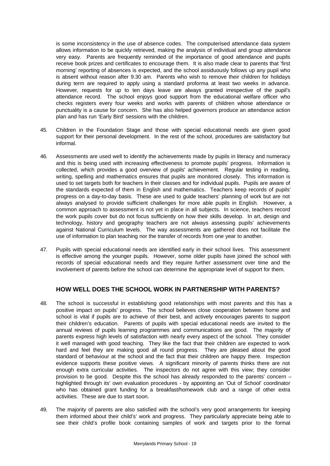is some inconsistency in the use of absence codes. The computerised attendance data system allows information to be quickly retrieved, making the analysis of individual and group attendance very easy. Parents are frequently reminded of the importance of good attendance and pupils receive book prizes and certificates to encourage them. It is also made clear to parents that 'first morning' reporting of absences is expected, and the school assiduously follows up any pupil who is absent without reason after 9.30 am. Parents who wish to remove their children for holidays during term are required to apply using a standard proforma at least two weeks in advance. However, requests for up to ten days leave are always granted irrespective of the pupil's attendance record. The school enjoys good support from the educational welfare officer who checks registers every four weeks and works with parents of children whose attendance or punctuality is a cause for concern. She has also helped governors produce an attendance action plan and has run 'Early Bird' sessions with the children.

- 45. Children in the Foundation Stage and those with special educational needs are given good support for their personal development. In the rest of the school, procedures are satisfactory but informal.
- 46. Assessments are used well to identify the achievements made by pupils in literacy and numeracy and this is being used with increasing effectiveness to promote pupils' progress. Information is collected, which provides a good overview of pupils' achievement. Regular testing in reading, writing, spelling and mathematics ensures that pupils are monitored closely. This information is used to set targets both for teachers in their classes and for individual pupils. Pupils are aware of the standards expected of them in English and mathematics. Teachers keep records of pupils' progress on a day-to-day basis. These are used to guide teachers' planning of work but are not always analysed to provide sufficient challenges for more able pupils in English. However, a common approach to assessment is not yet in place in all subjects. In science, teachers record the work pupils cover but do not focus sufficiently on how their skills develop. In art, design and technology, history and geography teachers are not always assessing pupils' achievements against National Curriculum levels. The way assessments are gathered does not facilitate the use of information to plan teaching nor the transfer of records from one year to another.
- 47. Pupils with special educational needs are identified early in their school lives. This assessment is effective among the younger pupils. However, some older pupils have joined the school with records of special educational needs and they require further assessment over time and the involvement of parents before the school can determine the appropriate level of support for them.

## **HOW WELL DOES THE SCHOOL WORK IN PARTNERSHIP WITH PARENTS?**

- 48. The school is successful in establishing good relationships with most parents and this has a positive impact on pupils' progress. The school believes close cooperation between home and school is vital if pupils are to achieve of their best, and actively encourages parents to support their children's education. Parents of pupils with special educational needs are invited to the annual reviews of pupils learning programmes and communications are good. The majority of parents express high levels of satisfaction with nearly every aspect of the school. They consider it well managed with good teaching. They like the fact that their children are expected to work hard and feel they are making good all round progress. They are pleased about the good standard of behaviour at the school and the fact that their children are happy there. Inspection evidence supports these positive views. A significant minority of parents thinks there are not enough extra curricular activities. The inspectors do not agree with this view; they consider provision to be good. Despite this the school has already responded to the parents' concern – highlighted through its' own evaluation procedures - by appointing an 'Out of School' coordinator who has obtained grant funding for a breakfast/homework club and a range of other extra activities. These are due to start soon.
- 49. The majority of parents are also satisfied with the school's very good arrangements for keeping them informed about their child's' work and progress. They particularly appreciate being able to see their child's profile book containing samples of work and targets prior to the formal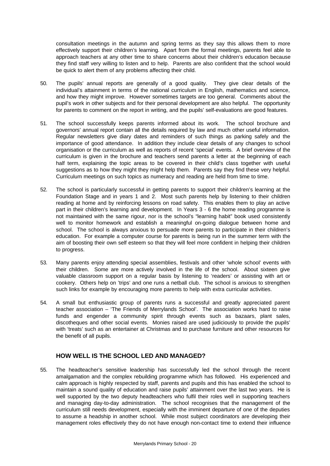consultation meetings in the autumn and spring terms as they say this allows them to more effectively support their children's learning. Apart from the formal meetings, parents feel able to approach teachers at any other time to share concerns about their children's education because they find staff very willing to listen and to help. Parents are also confident that the school would be quick to alert them of any problems affecting their child.

- 50. The pupils' annual reports are generally of a good quality. They give clear details of the individual's attainment in terms of the national curriculum in English, mathematics and science, and how they might improve. However sometimes targets are too general. Comments about the pupil's work in other subjects and for their personal development are also helpful. The opportunity for parents to comment on the report in writing, and the pupils' self-evaluations are good features.
- 51. The school successfully keeps parents informed about its work. The school brochure and governors' annual report contain all the details required by law and much other useful information. Regular newsletters give diary dates and reminders of such things as parking safely and the importance of good attendance. In addition they include clear details of any changes to school organisation or the curriculum as well as reports of recent 'special' events. A brief overview of the curriculum is given in the brochure and teachers send parents a letter at the beginning of each half term, explaining the topic areas to be covered in their child's class together with useful suggestions as to how they might they might help them. Parents say they find these very helpful. Curriculum meetings on such topics as numeracy and reading are held from time to time.
- 52. The school is particularly successful in getting parents to support their children's learning at the Foundation Stage and in years 1 and 2. Most such parents help by listening to their children reading at home and by reinforcing lessons on road safety. This enables them to play an active part in their children's learning and development. In Years 3 - 6 the home reading programme is not maintained with the same rigour, nor is the school's "learning habit" book used consistently well to monitor homework and establish a meaningful on-going dialogue between home and school. The school is always anxious to persuade more parents to participate in their children's education. For example a computer course for parents is being run in the summer term with the aim of boosting their own self esteem so that they will feel more confident in helping their children to progress.
- 53. Many parents enjoy attending special assemblies, festivals and other 'whole school' events with their children. Some are more actively involved in the life of the school. About sixteen give valuable classroom support on a regular basis by listening to 'readers' or assisting with art or cookery. Others help on 'trips' and one runs a netball club. The school is anxious to strengthen such links for example by encouraging more parents to help with extra curricular activities.
- 54. A small but enthusiastic group of parents runs a successful and greatly appreciated parent teacher association – 'The Friends of Merrylands School'. The association works hard to raise funds and engender a community spirit through events such as bazaars, plant sales, discotheques and other social events. Monies raised are used judiciously to provide the pupils' with 'treats' such as an entertainer at Christmas and to purchase furniture and other resources for the benefit of all pupils.

## **HOW WELL IS THE SCHOOL LED AND MANAGED?**

55. The headteacher's sensitive leadership has successfully led the school through the recent amalgamation and the complex rebuilding programme which has followed. His experienced and calm approach is highly respected by staff, parents and pupils and this has enabled the school to maintain a sound quality of education and raise pupils' attainment over the last two years. He is well supported by the two deputy headteachers who fulfil their roles well in supporting teachers and managing day-to-day administration. The school recognises that the management of the curriculum still needs development, especially with the imminent departure of one of the deputies to assume a headship in another school. While most subject coordinators are developing their management roles effectively they do not have enough non-contact time to extend their influence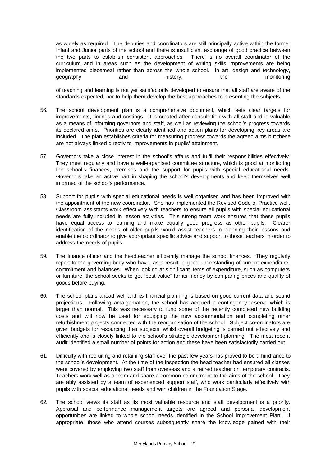as widely as required. The deputies and coordinators are still principally active within the former Infant and Junior parts of the school and there is insufficient exchange of good practice between the two parts to establish consistent approaches. There is no overall coordinator of the curriculum and in areas such as the development of writing skills improvements are being implemented piecemeal rather than across the whole school. In art, design and technology, geography and history, the monitoring

of teaching and learning is not yet satisfactorily developed to ensure that all staff are aware of the standards expected, nor to help them develop the best approaches to presenting the subjects.

- 56. The school development plan is a comprehensive document, which sets clear targets for improvements, timings and costings. It is created after consultation with all staff and is valuable as a means of informing governors and staff, as well as reviewing the school's progress towards its declared aims. Priorities are clearly identified and action plans for developing key areas are included. The plan establishes criteria for measuring progress towards the agreed aims but these are not always linked directly to improvements in pupils' attainment.
- 57. Governors take a close interest in the school's affairs and fulfil their responsibilities effectively. They meet regularly and have a well-organised committee structure, which is good at monitoring the school's finances, premises and the support for pupils with special educational needs. Governors take an active part in shaping the school's developments and keep themselves well informed of the school's performance.
- 58. Support for pupils with special educational needs is well organised and has been improved with the appointment of the new coordinator.She has implemented the Revised Code of Practice well. Classroom assistants work effectively with teachers to ensure all pupils with special educational needs are fully included in lesson activities. This strong team work ensures that these pupils have equal access to learning and make equally good progress as other pupils. Clearer identification of the needs of older pupils would assist teachers in planning their lessons and enable the coordinator to give appropriate specific advice and support to those teachers in order to address the needs of pupils.
- 59. The finance officer and the headteacher efficiently manage the school finances. They regularly report to the governing body who have, as a result, a good understanding of current expenditure, commitment and balances. When looking at significant items of expenditure, such as computers or furniture, the school seeks to get "best value" for its money by comparing prices and quality of goods before buying.
- 60. The school plans ahead well and its financial planning is based on good current data and sound projections. Following amalgamation, the school has accrued a contingency reserve which is larger than normal. This was necessary to fund some of the recently completed new building costs and will now be used for equipping the new accommodation and completing other refurbishment projects connected with the reorganisation of the school. Subject co-ordinators are given budgets for resourcing their subjects, whilst overall budgeting is carried out effectively and efficiently and is closely linked to the school's strategic development planning. The most recent audit identified a small number of points for action and these have been satisfactorily carried out.
- 61. Difficulty with recruiting and retaining staff over the past few years has proved to be a hindrance to the school's development. At the time of the inspection the head teacher had ensured all classes were covered by employing two staff from overseas and a retired teacher on temporary contracts. Teachers work well as a team and share a common commitment to the aims of the school. They are ably assisted by a team of experienced support staff, who work particularly effectively with pupils with special educational needs and with children in the Foundation Stage.
- 62. The school views its staff as its most valuable resource and staff development is a priority. Appraisal and performance management targets are agreed and personal development opportunities are linked to whole school needs identified in the School Improvement Plan. If appropriate, those who attend courses subsequently share the knowledge gained with their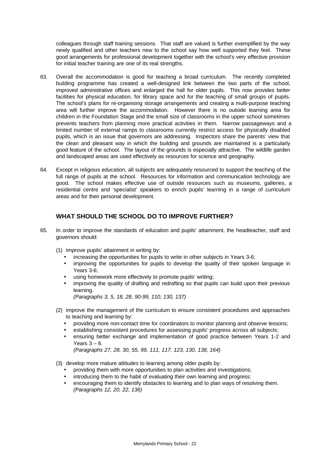colleagues through staff training sessions. That staff are valued is further exemplified by the way newly qualified and other teachers new to the school say how well supported they feel. These good arrangements for professional development together with the school's very effective provision for initial teacher training are one of its real strengths.

- 63. Overall the accommodation is good for teaching a broad curriculum. The recently completed building programme has created a well-designed link between the two parts of the school, improved administrative offices and enlarged the hall for older pupils. This now provides better facilities for physical education, for library space and for the teaching of small groups of pupils. The school's plans for re-organising storage arrangements and creating a multi-purpose teaching area will further improve the accommodation. However there is no outside learning area for children in the Foundation Stage and the small size of classrooms in the upper school sometimes prevents teachers from planning more practical activities in them. Narrow passageways and a limited number of external ramps to classrooms currently restrict access for physically disabled pupils, which is an issue that governors are addressing. Inspectors share the parents' view that the clean and pleasant way in which the building and grounds are maintained is a particularly good feature of the school. The layout of the grounds is especially attractive. The wildlife garden and landscaped areas are used effectively as resources for science and geography.
- 64. Except in religious education, all subjects are adequately resourced to support the teaching of the full range of pupils at the school. Resources for information and communication technology are good. The school makes effective use of outside resources such as museums, galleries, a residential centre and 'specialist' speakers to enrich pupils' learning in a range of curriculum areas and for their personal development.

#### **WHAT SHOULD THE SCHOOL DO TO IMPROVE FURTHER?**

- 65. In order to improve the standards of education and pupils' attainment, the headteacher, staff and governors should:
	- (1) Improve pupils' attainment in writing by:
		- increasing the opportunities for pupils to write in other subjects in Years 3-6;
		- improving the opportunities for pupils to develop the quality of their spoken language in Years 3-6;
		- using homework more effectively to promote pupils' writing;
		- improving the quality of drafting and redrafting so that pupils can build upon their previous learning.

*(Paragraphs 3, 5, 18, 28, 90-99, 110, 130, 137)*

- (2) improve the management of the curriculum to ensure consistent procedures and approaches to teaching and learning by:
	- providing more non-contact time for coordinators to monitor planning and observe lessons;
	- establishing consistent procedures for assessing pupils' progress across all subjects;
	- ensuring better exchange and implementation of good practice between Years 1-2 and Years  $3 - 6$ . *(Paragraphs 27, 28, 30, 55, 99, 111, 117, 123, 130, 138, 164)*
- (3) develop more mature attitudes to learning among older pupils by:
	- providing them with more opportunities to plan activities and investigations;
	- introducing them to the habit of evaluating their own learning and progress:
	- encouraging them to identify obstacles to learning and to plan ways of resolving them. *(Paragraphs 12, 20, 22, 136)*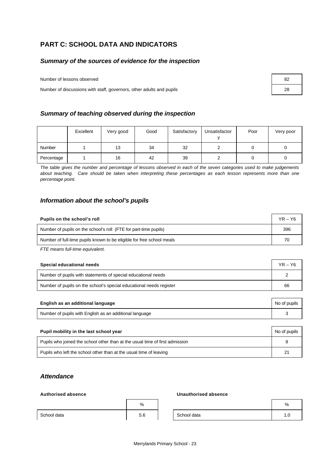# **PART C: SCHOOL DATA AND INDICATORS**

## *Summary of the sources of evidence for the inspection*

Number of lessons observed 82

Number of discussions with staff, governors, other adults and pupils 28

## *Summary of teaching observed during the inspection*

|            | Excellent | Very good | Good | Satisfactory | Unsatisfactor | Poor | Very poor |
|------------|-----------|-----------|------|--------------|---------------|------|-----------|
| Number     |           | 13        | 34   | 32           |               |      |           |
| Percentage |           | 16        | 42   | 39           |               |      |           |

*The table gives the number and percentage of lessons observed in each of the seven categories used to make judgements about teaching. Care should be taken when interpreting these percentages as each lesson represents more than one percentage point.*

#### *Information about the school's pupils*

| Pupils on the school's roll                                           | $YR - Y6$ |
|-----------------------------------------------------------------------|-----------|
| Number of pupils on the school's roll (FTE for part-time pupils)      | 396       |
| Number of full-time pupils known to be eligible for free school meals | 70        |

*FTE means full-time equivalent.*

| Special educational needs                                           | $YR - Y6$ |
|---------------------------------------------------------------------|-----------|
| Number of pupils with statements of special educational needs       |           |
| Number of pupils on the school's special educational needs register | 66        |

| English as an additional language                       | No of pupils |
|---------------------------------------------------------|--------------|
| Number of pupils with English as an additional language |              |
|                                                         |              |

| Pupil mobility in the last school year                                       | No of pupils |
|------------------------------------------------------------------------------|--------------|
| Pupils who joined the school other than at the usual time of first admission |              |
| Pupils who left the school other than at the usual time of leaving           | 21           |

#### *Attendance*

#### **Authorised absence Unauthorised absence**

|             | %          |             | % |
|-------------|------------|-------------|---|
| School data | E Q<br>p.o | School data |   |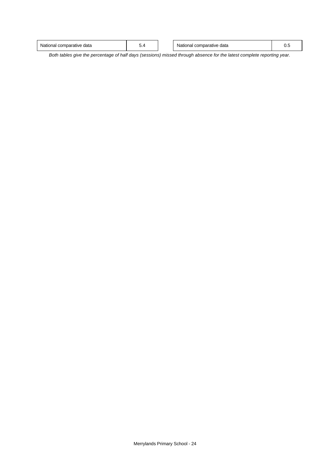| v.,<br>◡.⊣ | l comparative<br>` data<br>tionai | - |  | data<br>mparative<br>National<br>com |  |
|------------|-----------------------------------|---|--|--------------------------------------|--|
|------------|-----------------------------------|---|--|--------------------------------------|--|

*Both tables give the percentage of half days (sessions) missed through absence for the latest complete reporting year.*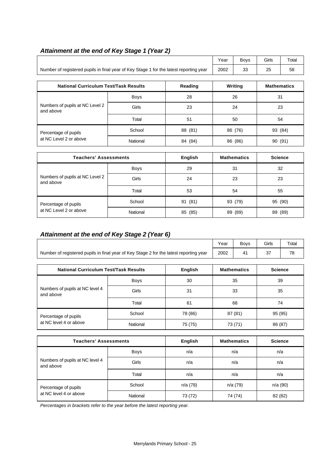|                                                                                        |             |                |         | <b>Boys</b>        | Girls              | Total   |  |
|----------------------------------------------------------------------------------------|-------------|----------------|---------|--------------------|--------------------|---------|--|
| Number of registered pupils in final year of Key Stage 1 for the latest reporting year | 2002<br>33  |                | 25      | 58                 |                    |         |  |
|                                                                                        |             |                |         |                    |                    |         |  |
| <b>National Curriculum Test/Task Results</b><br>Reading                                |             |                |         | Writing            | <b>Mathematics</b> |         |  |
|                                                                                        | <b>Boys</b> | 28             |         | 26                 |                    | 31      |  |
| Numbers of pupils at NC Level 2<br>and above                                           | Girls       | 23             | 24      |                    | 23                 |         |  |
|                                                                                        | Total       | 51             | 50      |                    | 54                 |         |  |
| Percentage of pupils                                                                   | School      |                |         | 86 (76)            |                    | 93 (84) |  |
| at NC Level 2 or above                                                                 | National    | 84 (84)        | 86 (86) |                    | 90 (91)            |         |  |
|                                                                                        |             |                |         |                    |                    |         |  |
| Teachers' Assessments                                                                  |             | <b>Enalish</b> |         | <b>Mathematics</b> | <b>Science</b>     |         |  |

## *Attainment at the end of Key Stage 1 (Year 2)*

|                                              | <b>Teachers' Assessments</b> |                    | <b>Mathematics</b> | <b>Science</b> |  |
|----------------------------------------------|------------------------------|--------------------|--------------------|----------------|--|
| <b>Boys</b>                                  |                              | 29                 | 31                 | 32             |  |
| Numbers of pupils at NC Level 2<br>and above | Girls                        | 24                 | 23                 | 23             |  |
|                                              | Total                        | 53                 | 54                 | 55             |  |
| Percentage of pupils                         | School                       | 93 (79)<br>91 (81) |                    | 95 (90)        |  |
| at NC Level 2 or above                       | National                     | 85 (85)            | (89)<br>89         | (89)<br>89     |  |

# *Attainment at the end of Key Stage 2 (Year 6)*

|                                                                                        | Year | Bovs | <b>Girls</b> | Total |
|----------------------------------------------------------------------------------------|------|------|--------------|-------|
| Number of registered pupils in final year of Key Stage 2 for the latest reporting year | 2002 |      |              | 70    |

|                                              | <b>National Curriculum Test/Task Results</b> |                    | <b>Mathematics</b> | <b>Science</b> |
|----------------------------------------------|----------------------------------------------|--------------------|--------------------|----------------|
|                                              | <b>Boys</b>                                  | 30                 | 35                 | 39             |
| Numbers of pupils at NC level 4<br>and above | Girls                                        | 31                 | 33                 | 35             |
|                                              | Total                                        | 61                 | 68                 | 74             |
| Percentage of pupils                         | School                                       | 78 (86)<br>87 (81) |                    | 95 (95)        |
| at NC level 4 or above                       | National                                     | 75 (75)            | 73 (71)            | 86 (87)        |

|                                              | <b>Teachers' Assessments</b> |         | <b>Mathematics</b> | <b>Science</b> |
|----------------------------------------------|------------------------------|---------|--------------------|----------------|
| <b>Boys</b>                                  |                              | n/a     | n/a                | n/a            |
| Numbers of pupils at NC level 4<br>and above | Girls                        | n/a     | n/a                | n/a            |
|                                              | Total                        | n/a     | n/a                | n/a            |
| Percentage of pupils                         | School                       | n/a(78) | n/a (79)           | n/a(90)        |
| at NC level 4 or above                       | National                     | 73 (72) | 74 (74)            | 82 (82)        |

*Percentages in brackets refer to the year before the latest reporting year.*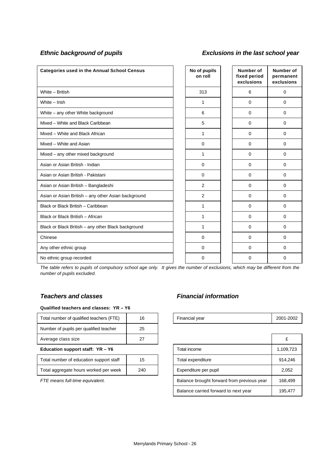# *Ethnic background of pupils Exclusions in the last school year*

| <b>Categories used in the Annual School Census</b>  | No of pupils<br>on roll | Number of<br>fixed period<br>exclusions | Number of<br>permanent<br>exclusions |
|-----------------------------------------------------|-------------------------|-----------------------------------------|--------------------------------------|
| White - British                                     | 313                     | 6                                       | $\mathbf 0$                          |
| White - Irish                                       | 1                       | 0                                       | 0                                    |
| White – any other White background                  | 6                       | $\Omega$                                | $\Omega$                             |
| Mixed - White and Black Caribbean                   | 5                       | 0                                       | 0                                    |
| Mixed - White and Black African                     | 1                       | $\Omega$                                | 0                                    |
| Mixed - White and Asian                             | $\mathbf 0$             | $\mathbf 0$                             | 0                                    |
| Mixed - any other mixed background                  | 1                       | 0                                       | 0                                    |
| Asian or Asian British - Indian                     | $\mathbf 0$             | $\Omega$                                | $\Omega$                             |
| Asian or Asian British - Pakistani                  | $\mathbf 0$             | $\mathbf 0$                             | 0                                    |
| Asian or Asian British - Bangladeshi                | $\overline{2}$          | 0                                       | 0                                    |
| Asian or Asian British - any other Asian background | 2                       | 0                                       | 0                                    |
| Black or Black British - Caribbean                  | 1                       | $\Omega$                                | 0                                    |
| Black or Black British - African                    | 1                       | $\Omega$                                | $\Omega$                             |
| Black or Black British - any other Black background | 1                       | $\Omega$                                | 0                                    |
| Chinese                                             | 0                       | 0                                       | 0                                    |
| Any other ethnic group                              | 0                       | $\Omega$                                | $\Omega$                             |
| No ethnic group recorded                            | $\Omega$                | 0                                       | 0                                    |

*The table refers to pupils of compulsory school age only. It gives the number of exclusions, which may be different from the number of pupils excluded.*

#### **Qualified teachers and classes: YR – Y6**

| Education support staff: $YR - Y6$       |    | Total income   | 1.109    |
|------------------------------------------|----|----------------|----------|
| Average class size                       | 27 |                | £        |
| Number of pupils per qualified teacher   | 25 |                |          |
| Total number of qualified teachers (FTE) | 16 | Financial year | $2001 -$ |

| Total number of education support staff | 15  |
|-----------------------------------------|-----|
| Total aggregate hours worked per week   | 240 |

# *Teachers and classes Financial information*

| <br>T<br>Total number of qualified teachers (<br>ᅚ |  | -<br>Financial vear | 2001-2002 |
|----------------------------------------------------|--|---------------------|-----------|
|                                                    |  |                     |           |

| Average class size                      | 27  |                                            |                                      |           |
|-----------------------------------------|-----|--------------------------------------------|--------------------------------------|-----------|
| Education support staff: YR - Y6        |     |                                            | Total income                         | 1,109,723 |
| Total number of education support staff | 15  |                                            | Total expenditure                    | 914,246   |
| Total aggregate hours worked per week   | 240 |                                            | Expenditure per pupil                | 2,052     |
| FTE means full-time equivalent.         |     | Balance brought forward from previous year | 168.499                              |           |
|                                         |     |                                            | Balance carried forward to next year | 195,477   |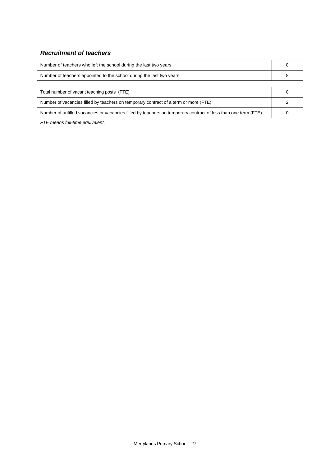# *Recruitment of teachers*

| Number of teachers who left the school during the last two years                                               |  |
|----------------------------------------------------------------------------------------------------------------|--|
| Number of teachers appointed to the school during the last two years                                           |  |
|                                                                                                                |  |
| Total number of vacant teaching posts (FTE)                                                                    |  |
| Number of vacancies filled by teachers on temporary contract of a term or more (FTE)                           |  |
| Number of unfilled vacancies or vacancies filled by teachers on temporary contract of less than one term (FTE) |  |

*FTE means full-time equivalent.*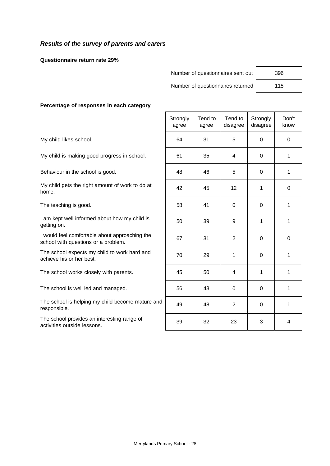## *Results of the survey of parents and carers*

**Questionnaire return rate 29%**

Number of questionnaires sent out | 396

Number of questionnaires returned | 115

#### **Percentage of responses in each category**

|                                                                                       | Strongly<br>agree | Tend to<br>agree | Tend to<br>disagree | Strongly<br>disagree | Don't<br>know |
|---------------------------------------------------------------------------------------|-------------------|------------------|---------------------|----------------------|---------------|
| My child likes school.                                                                | 64                | 31               | 5                   | 0                    | $\mathbf 0$   |
| My child is making good progress in school.                                           | 61                | 35               | 4                   | $\mathbf 0$          | 1             |
| Behaviour in the school is good.                                                      | 48                | 46               | 5                   | 0                    | 1             |
| My child gets the right amount of work to do at<br>home.                              | 42                | 45               | 12                  | 1                    | $\mathbf 0$   |
| The teaching is good.                                                                 | 58                | 41               | $\Omega$            | $\Omega$             | 1             |
| I am kept well informed about how my child is<br>getting on.                          | 50                | 39               | 9                   | 1                    | 1             |
| I would feel comfortable about approaching the<br>school with questions or a problem. | 67                | 31               | $\overline{2}$      | 0                    | $\mathbf 0$   |
| The school expects my child to work hard and<br>achieve his or her best.              | 70                | 29               | 1                   | 0                    | 1             |
| The school works closely with parents.                                                | 45                | 50               | 4                   | 1                    | 1             |
| The school is well led and managed.                                                   | 56                | 43               | 0                   | $\Omega$             | 1             |
| The school is helping my child become mature and<br>responsible.                      | 49                | 48               | $\overline{2}$      | $\mathbf 0$          | 1             |
| The school provides an interesting range of<br>activities outside lessons.            | 39                | 32               | 23                  | 3                    | 4             |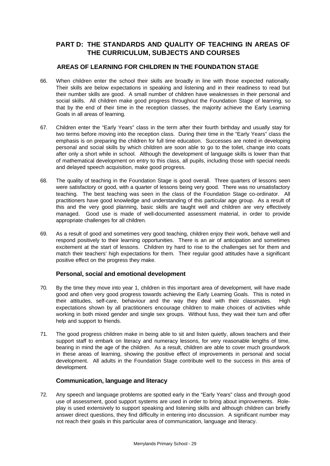# **PART D: THE STANDARDS AND QUALITY OF TEACHING IN AREAS OF THE CURRICULUM, SUBJECTS AND COURSES**

#### **AREAS OF LEARNING FOR CHILDREN IN THE FOUNDATION STAGE**

- 66. When children enter the school their skills are broadly in line with those expected nationally. Their skills are below expectations in speaking and listening and in their readiness to read but their number skills are good. A small number of children have weaknesses in their personal and social skills. All children make good progress throughout the Foundation Stage of learning, so that by the end of their time in the reception classes, the majority achieve the Early Learning Goals in all areas of learning.
- 67. Children enter the "Early Years" class in the term after their fourth birthday and usually stay for two terms before moving into the reception class. During their time in the "Early Years" class the emphasis is on preparing the children for full time education. Successes are noted in developing personal and social skills by which children are soon able to go to the toilet, change into coats after only a short while in school. Although the development of language skills is lower than that of mathematical development on entry to this class, all pupils, including those with special needs and delayed speech acquisition, make good progress.
- 68. The quality of teaching in the Foundation Stage is good overall. Three quarters of lessons seen were satisfactory or good, with a quarter of lessons being very good. There was no unsatisfactory teaching. The best teaching was seen in the class of the Foundation Stage co-ordinator. All practitioners have good knowledge and understanding of this particular age group. As a result of this and the very good planning, basic skills are taught well and children are very effectively managed. Good use is made of well-documented assessment material, in order to provide appropriate challenges for all children.
- 69. As a result of good and sometimes very good teaching, children enjoy their work, behave well and respond positively to their learning opportunities. There is an air of anticipation and sometimes excitement at the start of lessons. Children try hard to rise to the challenges set for them and match their teachers' high expectations for them. Their regular good attitudes have a significant positive effect on the progress they make.

## **Personal, social and emotional development**

- 70. By the time they move into year 1, children in this important area of development, will have made good and often very good progress towards achieving the Early Learning Goals. This is noted in their attitudes, self-care, behaviour and the way they deal with their classmates. High expectations shown by all practitioners encourage children to make choices of activities while working in both mixed gender and single sex groups. Without fuss, they wait their turn and offer help and support to friends.
- 71. The good progress children make in being able to sit and listen quietly, allows teachers and their support staff to embark on literacy and numeracy lessons, for very reasonable lengths of time, bearing in mind the age of the children. As a result, children are able to cover much groundwork in these areas of learning, showing the positive effect of improvements in personal and social development. All adults in the Foundation Stage contribute well to the success in this area of development.

#### **Communication, language and literacy**

72. Any speech and language problems are spotted early in the "Early Years" class and through good use of assessment, good support systems are used in order to bring about improvements. Roleplay is used extensively to support speaking and listening skills and although children can briefly answer direct questions, they find difficulty in entering into discussion. A significant number may not reach their goals in this particular area of communication, language and literacy.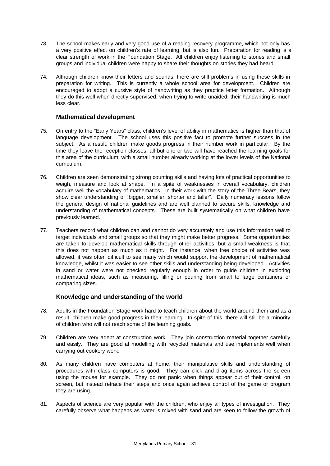- 73. The school makes early and very good use of a reading recovery programme, which not only has a very positive effect on children's rate of learning, but is also fun. Preparation for reading is a clear strength of work in the Foundation Stage. All children enjoy listening to stories and small groups and individual children were happy to share their thoughts on stories they had heard.
- 74. Although children know their letters and sounds, there are still problems in using these skills in preparation for writing. This is currently a whole school area for development. Children are encouraged to adopt a cursive style of handwriting as they practice letter formation. Although they do this well when directly supervised, when trying to write unaided, their handwriting is much less clear.

#### **Mathematical development**

- 75. On entry to the "Early Years" class, children's level of ability in mathematics is higher than that of language development. The school uses this positive fact to promote further success in the subject. As a result, children make goods progress in their number work in particular. By the time they leave the reception classes, all but one or two will have reached the learning goals for this area of the curriculum, with a small number already working at the lower levels of the National curriculum.
- 76. Children are seen demonstrating strong counting skills and having lots of practical opportunities to weigh, measure and look at shape. In a spite of weaknesses in overall vocabulary, children acquire well the vocabulary of mathematics. In their work with the story of the Three Bears, they show clear understanding of "bigger, smaller, shorter and taller". Daily numeracy lessons follow the general design of national guidelines and are well planned to secure skills, knowledge and understanding of mathematical concepts. These are built systematically on what children have previously learned.
- 77. Teachers record what children can and cannot do very accurately and use this information well to target individuals and small groups so that they might make better progress. Some opportunities are taken to develop mathematical skills through other activities, but a small weakness is that this does not happen as much as it might. For instance, when free choice of activities was allowed, it was often difficult to see many which would support the development of mathematical knowledge, whilst it was easier to see other skills and understanding being developed. Activities in sand or water were not checked regularly enough in order to guide children in exploring mathematical ideas, such as measuring, filling or pouring from small to large containers or comparing sizes.

#### **Knowledge and understanding of the world**

- 78. Adults in the Foundation Stage work hard to teach children about the world around them and as a result, children make good progress in their learning. In spite of this, there will still be a minority of children who will not reach some of the learning goals.
- 79. Children are very adept at construction work. They join construction material together carefully and easily. They are good at modelling with recycled materials and use implements well when carrying out cookery work.
- 80. As many children have computers at home, their manipulative skills and understanding of procedures with class computers is good. They can click and drag items across the screen using the mouse for example. They do not panic when things appear out of their control, on screen, but instead retrace their steps and once again achieve control of the game or program they are using.
- 81. Aspects of science are very popular with the children, who enjoy all types of investigation. They carefully observe what happens as water is mixed with sand and are keen to follow the growth of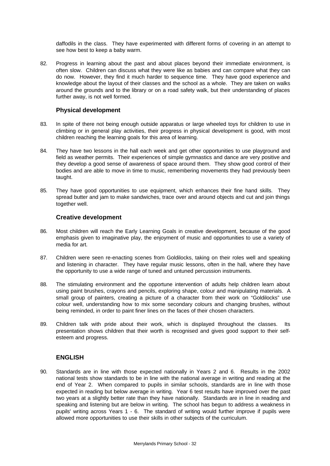daffodils in the class. They have experimented with different forms of covering in an attempt to see how best to keep a baby warm.

82. Progress in learning about the past and about places beyond their immediate environment, is often slow. Children can discuss what they were like as babies and can compare what they can do now. However, they find it much harder to sequence time. They have good experience and knowledge about the layout of their classes and the school as a whole. They are taken on walks around the grounds and to the library or on a road safety walk, but their understanding of places further away, is not well formed.

#### **Physical development**

- 83. In spite of there not being enough outside apparatus or large wheeled toys for children to use in climbing or in general play activities, their progress in physical development is good, with most children reaching the learning goals for this area of learning.
- 84. They have two lessons in the hall each week and get other opportunities to use playground and field as weather permits. Their experiences of simple gymnastics and dance are very positive and they develop a good sense of awareness of space around them. They show good control of their bodies and are able to move in time to music, remembering movements they had previously been taught.
- 85. They have good opportunities to use equipment, which enhances their fine hand skills. They spread butter and jam to make sandwiches, trace over and around objects and cut and join things together well.

#### **Creative development**

- 86. Most children will reach the Early Learning Goals in creative development, because of the good emphasis given to imaginative play, the enjoyment of music and opportunities to use a variety of media for art.
- 87. Children were seen re-enacting scenes from Goldilocks, taking on their roles well and speaking and listening in character. They have regular music lessons, often in the hall, where they have the opportunity to use a wide range of tuned and untuned percussion instruments.
- 88. The stimulating environment and the opportune intervention of adults help children learn about using paint brushes, crayons and pencils, exploring shape, colour and manipulating materials. A small group of painters, creating a picture of a character from their work on "Goldilocks" use colour well, understanding how to mix some secondary colours and changing brushes, without being reminded, in order to paint finer lines on the faces of their chosen characters.
- 89. Children talk with pride about their work, which is displayed throughout the classes. Its presentation shows children that their worth is recognised and gives good support to their selfesteem and progress.

## **ENGLISH**

90. Standards are in line with those expected nationally in Years 2 and 6. Results in the 2002 national tests show standards to be in line with the national average in writing and reading at the end of Year 2. When compared to pupils in similar schools, standards are in line with those expected in reading but below average in writing. Year 6 test results have improved over the past two years at a slightly better rate than they have nationally. Standards are in line in reading and speaking and listening but are below in writing. The school has begun to address a weakness in pupils' writing across Years 1 - 6. The standard of writing would further improve if pupils were allowed more opportunities to use their skills in other subjects of the curriculum.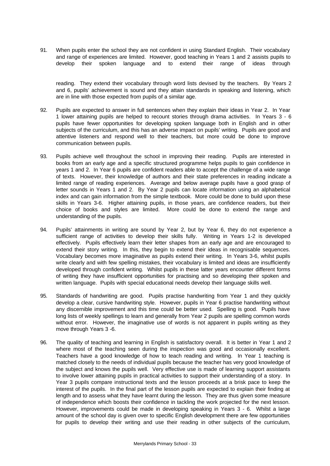91. When pupils enter the school they are not confident in using Standard English. Their vocabulary and range of experiences are limited. However, good teaching in Years 1 and 2 assists pupils to develop their spoken language and to extend their range of ideas through

reading. They extend their vocabulary through word lists devised by the teachers. By Years 2 and 6, pupils' achievement is sound and they attain standards in speaking and listening, which are in line with those expected from pupils of a similar age.

- 92. Pupils are expected to answer in full sentences when they explain their ideas in Year 2. In Year 1 lower attaining pupils are helped to recount stories through drama activities. In Years 3 - 6 pupils have fewer opportunities for developing spoken language both in English and in other subjects of the curriculum, and this has an adverse impact on pupils' writing. Pupils are good and attentive listeners and respond well to their teachers, but more could be done to improve communication between pupils.
- 93. Pupils achieve well throughout the school in improving their reading. Pupils are interested in books from an early age and a specific structured programme helps pupils to gain confidence in years 1 and 2. In Year 6 pupils are confident readers able to accept the challenge of a wide range of texts. However, their knowledge of authors and their state preferences in reading indicate a limited range of reading experiences. Average and below average pupils have a good grasp of letter sounds in Years 1 and 2. By Year 2 pupils can locate information using an alphabetical index and can gain information from the simple textbook. More could be done to build upon these skills in Years 3-6. Higher attaining pupils, in those years, are confidence readers, but their choice of books and styles are limited. More could be done to extend the range and understanding of the pupils.
- 94. Pupils' attainments in writing are sound by Year 2, but by Year 6, they do not experience a sufficient range of activities to develop their skills fully. Writing in Years 1-2 is developed effectively. Pupils effectively learn their letter shapes from an early age and are encouraged to extend their story writing. In this, they begin to extend their ideas in recognisable sequences. Vocabulary becomes more imaginative as pupils extend their writing. In Years 3-6, whilst pupils write clearly and with few spelling mistakes, their vocabulary is limited and ideas are insufficiently developed through confident writing. Whilst pupils in these latter years encounter different forms of writing they have insufficient opportunities for practising and so developing their spoken and written language. Pupils with special educational needs develop their language skills well.
- 95. Standards of handwriting are good. Pupils practise handwriting from Year 1 and they quickly develop a clear, cursive handwriting style. However, pupils in Year 6 practise handwriting without any discernible improvement and this time could be better used. Spelling is good. Pupils have long lists of weekly spellings to learn and generally from Year 2 pupils are spelling common words without error. However, the imaginative use of words is not apparent in pupils writing as they move through Years 3 -6.
- 96. The quality of teaching and learning in English is satisfactory overall. It is better in Year 1 and 2 where most of the teaching seen during the inspection was good and occasionally excellent. Teachers have a good knowledge of how to teach reading and writing. In Year 1 teaching is matched closely to the needs of individual pupils because the teacher has very good knowledge of the subject and knows the pupils well. Very effective use is made of learning support assistants to involve lower attaining pupils in practical activities to support their understanding of a story. In Year 3 pupils compare instructional texts and the lesson proceeds at a brisk pace to keep the interest of the pupils. In the final part of the lesson pupils are expected to explain their finding at length and to assess what they have learnt during the lesson. They are thus given some measure of independence which boosts their confidence in tackling the work projected for the next lesson. However, improvements could be made in developing speaking in Years 3 - 6. Whilst a large amount of the school day is given over to specific English development there are few opportunities for pupils to develop their writing and use their reading in other subjects of the curriculum,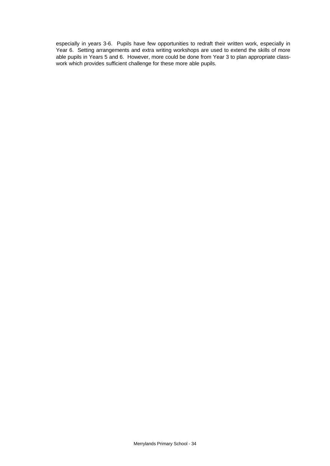especially in years 3-6. Pupils have few opportunities to redraft their written work, especially in Year 6. Setting arrangements and extra writing workshops are used to extend the skills of more able pupils in Years 5 and 6. However, more could be done from Year 3 to plan appropriate classwork which provides sufficient challenge for these more able pupils.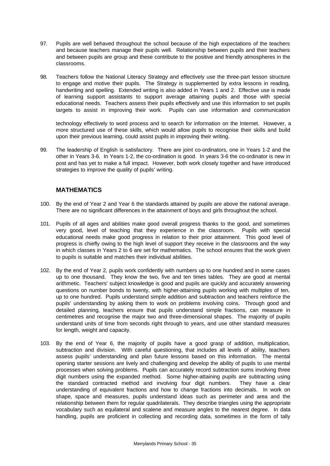- 97. Pupils are well behaved throughout the school because of the high expectations of the teachers and because teachers manage their pupils well. Relationship between pupils and their teachers and between pupils are group and these contribute to the positive and friendly atmospheres in the classrooms.
- 98. Teachers follow the National Literacy Strategy and effectively use the three-part lesson structure to engage and motive their pupils. The Strategy is supplemented by extra lessons in reading, handwriting and spelling. Extended writing is also added in Years 1 and 2. Effective use is made of learning support assistants to support average attaining pupils and those with special educational needs. Teachers assess their pupils effectively and use this information to set pupils targets to assist in improving their work. Pupils can use information and communication

technology effectively to word process and to search for information on the Internet. However, a more structured use of these skills, which would allow pupils to recognise their skills and build upon their previous learning, could assist pupils in improving their writing.

99. The leadership of English is satisfactory. There are joint co-ordinators, one in Years 1-2 and the other in Years 3-6. In Years 1-2, the co-ordination is good. In years 3-6 the co-ordinator is new in post and has yet to make a full impact. However, both work closely together and have introduced strategies to improve the quality of pupils' writing.

## **MATHEMATICS**

- 100. By the end of Year 2 and Year 6 the standards attained by pupils are above the national average. There are no significant differences in the attainment of boys and girls throughout the school.
- 101. Pupils of all ages and abilities make good overall progress thanks to the good, and sometimes very good, level of teaching that they experience in the classroom. Pupils with special educational needs make good progress in relation to their prior attainment. This good level of progress is chiefly owing to the high level of support they receive in the classrooms and the way in which classes in Years 2 to 6 are set for mathematics. The school ensures that the work given to pupils is suitable and matches their individual abilities.
- 102. By the end of Year 2, pupils work confidently with numbers up to one hundred and in some cases up to one thousand. They know the two, five and ten times tables. They are good at mental arithmetic. Teachers' subject knowledge is good and pupils are quickly and accurately answering questions on number bonds to twenty, with higher-attaining pupils working with multiples of ten, up to one hundred. Pupils understand simple addition and subtraction and teachers reinforce the pupils' understanding by asking them to work on problems involving coins. Through good and detailed planning, teachers ensure that pupils understand simple fractions, can measure in centimetres and recognise the major two and three-dimensional shapes. The majority of pupils understand units of time from seconds right through to years, and use other standard measures for length, weight and capacity.
- 103. By the end of Year 6, the majority of pupils have a good grasp of addition, multiplication, subtraction and division. With careful questioning, that includes all levels of ability, teachers assess pupils' understanding and plan future lessons based on this information. The mental opening starter sessions are lively and challenging and develop the ability of pupils to use mental processes when solving problems. Pupils can accurately record subtraction sums involving three digit numbers using the expanded method. Some higher-attaining pupils are subtracting using the standard contracted method and involving four digit numbers. They have a clear understanding of equivalent fractions and how to change fractions into decimals. In work on shape, space and measures, pupils understand ideas such as perimeter and area and the relationship between them for regular quadrilaterals. They describe triangles using the appropriate vocabulary such as equilateral and scalene and measure angles to the nearest degree. In data handling, pupils are proficient in collecting and recording data, sometimes in the form of tally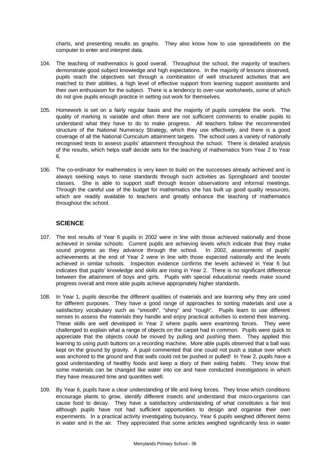charts, and presenting results as graphs. They also know how to use spreadsheets on the computer to enter and interpret data.

- 104. The teaching of mathematics is good overall. Throughout the school, the majority of teachers demonstrate good subject knowledge and high expectations. In the majority of lessons observed, pupils reach the objectives set through a combination of well structured activities that are matched to their abilities, a high level of effective support from learning support assistants and their own enthusiasm for the subject. There is a tendency to over-use worksheets, some of which do not give pupils enough practice in setting out work for themselves.
- 105. Homework is set on a fairly regular basis and the majority of pupils complete the work. The quality of marking is variable and often there are not sufficient comments to enable pupils to understand what they have to do to make progress. All teachers follow the recommended structure of the National Numeracy Strategy, which they use effectively, and there is a good coverage of all the National Curriculum attainment targets. The school uses a variety of nationally recognised tests to assess pupils' attainment throughout the school. There is detailed analysis of the results, which helps staff decide sets for the teaching of mathematics from Year 2 to Year 6.
- 106. The co-ordinator for mathematics is very keen to build on the successes already achieved and is always seeking ways to raise standards through such activities as Springboard and booster classes. She is able to support staff through lesson observations and informal meetings. Through the careful use of the budget for mathematics she has built up good quality resources, which are readily available to teachers and greatly enhance the teaching of mathematics throughout the school.

#### **SCIENCE**

- 107. The test results of Year 6 pupils in 2002 were in line with those achieved nationally and those achieved in similar schools. Current pupils are achieving levels which indicate that they make sound progress as they advance through the school. In 2002, assessments of pupils' achievements at the end of Year 2 were in line with those expected nationally and the levels achieved in similar schools. Inspection evidence confirms the levels achieved in Year 6 but indicates that pupils' knowledge and skills are rising in Year 2. There is no significant difference between the attainment of boys and girls. Pupils with special educational needs make sound progress overall and more able pupils achieve appropriately higher standards.
- 108. In Year 1, pupils describe the different qualities of materials and are learning why they are used for different purposes. They have a good range of approaches to sorting materials and use a satisfactory vocabulary such as "smooth", "shiny" and "rough". Pupils learn to use different senses to assess the materials they handle and enjoy practical activities to extend their learning. These skills are well developed in Year 2 where pupils were examining forces. They were challenged to explain what a range of objects on the carpet had in common. Pupils were quick to appreciate that the objects could be moved by pulling and pushing them. They applied this learning to using push buttons on a recording machine. More able pupils observed that a ball was kept on the ground by gravity. A pupil commented that one could not push a statue over which was anchored to the ground and that walls could not be pushed or pulled! In Year 2, pupils have a good understanding of healthy foods and keep a diary of their eating habits. They know that some materials can be changed like water into ice and have conducted investigations in which they have measured time and quantities well.
- 109. By Year 6, pupils have a clear understanding of life and living forces. They know which conditions encourage plants to grow, identify different insects and understand that micro-organisms can cause food to decay. They have a satisfactory understanding of what constitutes a fair test although pupils have not had sufficient opportunities to design and organise their own experiments. In a practical activity investigating buoyancy, Year 6 pupils weighed different items in water and in the air. They appreciated that some articles weighed significantly less in water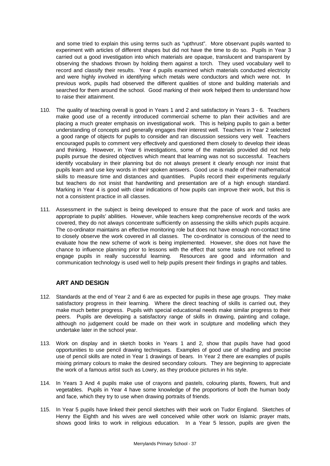and some tried to explain this using terms such as "upthrust". More observant pupils wanted to experiment with articles of different shapes but did not have the time to do so. Pupils in Year 3 carried out a good investigation into which materials are opaque, translucent and transparent by observing the shadows thrown by holding them against a torch. They used vocabulary well to record and classify their results. Year 4 pupils examined which materials conducted electricity and were highly involved in identifying which metals were conductors and which were not. In previous work, pupils had observed the different qualities of stone and building materials and searched for them around the school. Good marking of their work helped them to understand how to raise their attainment.

- 110. The quality of teaching overall is good in Years 1 and 2 and satisfactory in Years 3 6. Teachers make good use of a recently introduced commercial scheme to plan their activities and are placing a much greater emphasis on investigational work. This is helping pupils to gain a better understanding of concepts and generally engages their interest well. Teachers in Year 2 selected a good range of objects for pupils to consider and ran discussion sessions very well. Teachers encouraged pupils to comment very effectively and questioned them closely to develop their ideas and thinking. However, in Year 6 investigations, some of the materials provided did not help pupils pursue the desired objectives which meant that learning was not so successful. Teachers identify vocabulary in their planning but do not always present it clearly enough nor insist that pupils learn and use key words in their spoken answers. Good use is made of their mathematical skills to measure time and distances and quantities. Pupils record their experiments regularly but teachers do not insist that handwriting and presentation are of a high enough standard. Marking in Year 4 is good with clear indications of how pupils can improve their work, but this is not a consistent practice in all classes.
- 111. Assessment in the subject is being developed to ensure that the pace of work and tasks are appropriate to pupils' abilities. However, while teachers keep comprehensive records of the work covered, they do not always concentrate sufficiently on assessing the skills which pupils acquire. The co-ordinator maintains an effective monitoring role but does not have enough non-contact time to closely observe the work covered in all classes. The co-ordinator is conscious of the need to evaluate how the new scheme of work is being implemented. However, she does not have the chance to influence planning prior to lessons with the effect that some tasks are not refined to engage pupils in really successful learning. Resources are good and information and communication technology is used well to help pupils present their findings in graphs and tables.

## **ART AND DESIGN**

- 112. Standards at the end of Year 2 and 6 are as expected for pupils in these age groups. They make satisfactory progress in their learning. Where the direct teaching of skills is carried out, they make much better progress. Pupils with special educational needs make similar progress to their peers. Pupils are developing a satisfactory range of skills in drawing, painting and collage, although no judgement could be made on their work in sculpture and modelling which they undertake later in the school year.
- 113. Work on display and in sketch books in Years 1 and 2, show that pupils have had good opportunities to use pencil drawing techniques. Examples of good use of shading and precise use of pencil skills are noted in Year 1 drawings of bears. In Year 2 there are examples of pupils mixing primary colours to make the desired secondary colours. They are beginning to appreciate the work of a famous artist such as Lowry, as they produce pictures in his style.
- 114. In Years 3 And 4 pupils make use of crayons and pastels, colouring plants, flowers, fruit and vegetables. Pupils in Year 4 have some knowledge of the proportions of both the human body and face, which they try to use when drawing portraits of friends.
- 115. In Year 5 pupils have linked their pencil sketches with their work on Tudor England. Sketches of Henry the Eighth and his wives are well conceived while other work on Islamic praver mats. shows good links to work in religious education. In a Year 5 lesson, pupils are given the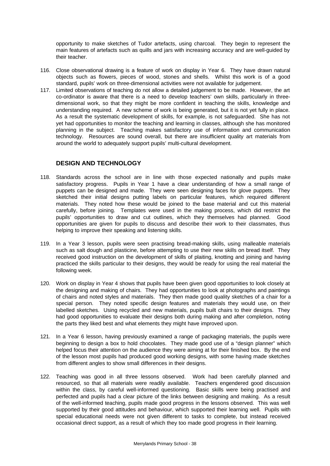opportunity to make sketches of Tudor artefacts, using charcoal. They begin to represent the main features of artefacts such as quills and jars with increasing accuracy and are well-guided by their teacher.

- 116. Close observational drawing is a feature of work on display in Year 6. They have drawn natural objects such as flowers, pieces of wood, stones and shells. Whilst this work is of a good standard, pupils' work on three-dimensional activities were not available for judgement.
- 117. Limited observations of teaching do not allow a detailed judgement to be made. However, the art co-ordinator is aware that there is a need to develop teachers' own skills, particularly in threedimensional work, so that they might be more confident in teaching the skills, knowledge and understanding required. A new scheme of work is being generated, but it is not yet fully in place. As a result the systematic development of skills, for example, is not safeguarded. She has not yet had opportunities to monitor the teaching and learning in classes, although she has monitored planning in the subject. Teaching makes satisfactory use of information and communication technology. Resources are sound overall, but there are insufficient quality art materials from around the world to adequately support pupils' multi-cultural development.

## **DESIGN AND TECHNOLOGY**

- 118. Standards across the school are in line with those expected nationally and pupils make satisfactory progress. Pupils in Year 1 have a clear understanding of how a small range of puppets can be designed and made. They were seen designing faces for glove puppets. They sketched their initial designs putting labels on particular features, which required different materials. They noted how these would be joined to the base material and cut this material carefully, before joining. Templates were used in the making process, which did restrict the pupils' opportunities to draw and cut outlines, which they themselves had planned. Good opportunities are given for pupils to discuss and describe their work to their classmates, thus helping to improve their speaking and listening skills.
- 119. In a Year 3 lesson, pupils were seen practising bread-making skills, using malleable materials such as salt dough and plasticine, before attempting to use their new skills on bread itself. They received good instruction on the development of skills of plaiting, knotting and joining and having practiced the skills particular to their designs, they would be ready for using the real material the following week.
- 120. Work on display in Year 4 shows that pupils have been given good opportunities to look closely at the designing and making of chairs. They had opportunities to look at photographs and paintings of chairs and noted styles and materials. They then made good quality sketches of a chair for a special person. They noted specific design features and materials they would use, on their labelled sketches. Using recycled and new materials, pupils built chairs to their designs. They had good opportunities to evaluate their designs both during making and after completion, noting the parts they liked best and what elements they might have improved upon.
- 121. In a Year 6 lesson, having previously examined a range of packaging materials, the pupils were beginning to design a box to hold chocolates. They made good use of a "design planner" which helped focus their attention on the audience they were aiming at for their finished box. By the end of the lesson most pupils had produced good working designs, with some having made sketches from different angles to show small differences in their designs.
- 122. Teaching was good in all three lessons observed. Work had been carefully planned and resourced, so that all materials were readily available. Teachers engendered good discussion within the class, by careful well-informed questioning. Basic skills were being practised and perfected and pupils had a clear picture of the links between designing and making. As a result of the well-informed teaching, pupils made good progress in the lessons observed. This was well supported by their good attitudes and behaviour, which supported their learning well. Pupils with special educational needs were not given different to tasks to complete, but instead received occasional direct support, as a result of which they too made good progress in their learning.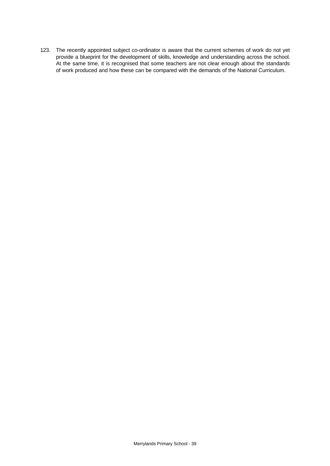123. The recently appointed subject co-ordinator is aware that the current schemes of work do not yet provide a blueprint for the development of skills, knowledge and understanding across the school. At the same time, it is recognised that some teachers are not clear enough about the standards of work produced and how these can be compared with the demands of the National Curriculum.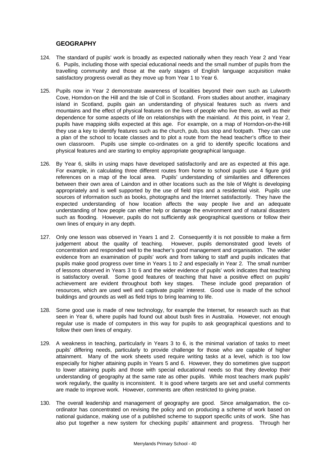#### **GEOGRAPHY**

- 124. The standard of pupils' work is broadly as expected nationally when they reach Year 2 and Year 6. Pupils, including those with special educational needs and the small number of pupils from the travelling community and those at the early stages of English language acquisition make satisfactory progress overall as they move up from Year 1 to Year 6.
- 125. Pupils now in Year 2 demonstrate awareness of localities beyond their own such as Lulworth Cove, Horndon-on the Hill and the Isle of Coll in Scotland. From studies about another, imaginary island in Scotland, pupils gain an understanding of physical features such as rivers and mountains and the effect of physical features on the lives of people who live there, as well as their dependence for some aspects of life on relationships with the mainland. At this point, in Year 2, pupils have mapping skills expected at this age. For example, on a map of Horndon-on-the-Hill they use a key to identify features such as the church, pub, bus stop and footpath. They can use a plan of the school to locate classes and to plot a route from the head teacher's office to their own classroom. Pupils use simple co-ordinates on a grid to identify specific locations and physical features and are starting to employ appropriate geographical language.
- 126. By Year 6, skills in using maps have developed satisfactorily and are as expected at this age. For example, in calculating three different routes from home to school pupils use 4 figure grid references on a map of the local area. Pupils' understanding of similarities and differences between their own area of Laindon and in other locations such as the Isle of Wight is developing appropriately and is well supported by the use of field trips and a residential visit. Pupils use sources of information such as books, photographs and the Internet satisfactorily. They have the expected understanding of how location affects the way people live and an adequate understanding of how people can either help or damage the environment and of natural disasters such as flooding. However, pupils do not sufficiently ask geographical questions or follow their own lines of enquiry in any depth.
- 127. Only one lesson was observed in Years 1 and 2. Consequently it is not possible to make a firm judgement about the quality of teaching. However, pupils demonstrated good levels of concentration and responded well to the teacher's good management and organisation. The wider evidence from an examination of pupils' work and from talking to staff and pupils indicates that pupils make good progress over time in Years 1 to 2 and especially in Year 2. The small number of lessons observed in Years 3 to 6 and the wider evidence of pupils' work indicates that teaching is satisfactory overall. Some good features of teaching that have a positive effect on pupils' achievement are evident throughout both key stages. These include good preparation of resources, which are used well and captivate pupils' interest. Good use is made of the school buildings and grounds as well as field trips to bring learning to life.
- 128. Some good use is made of new technology, for example the Internet, for research such as that seen in Year 6, where pupils had found out about bush fires in Australia. However, not enough regular use is made of computers in this way for pupils to ask geographical questions and to follow their own lines of enquiry.
- 129. A weakness in teaching, particularly in Years 3 to 6, is the minimal variation of tasks to meet pupils' differing needs, particularly to provide challenge for those who are capable of higher attainment. Many of the work sheets used require writing tasks at a level, which is too low especially for higher attaining pupils in Years 5 and 6. However, they do sometimes give support to lower attaining pupils and those with special educational needs so that they develop their understanding of geography at the same rate as other pupils. While most teachers mark pupils' work regularly, the quality is inconsistent. It is good where targets are set and useful comments are made to improve work. However, comments are often restricted to giving praise.
- 130. The overall leadership and management of geography are good. Since amalgamation, the coordinator has concentrated on revising the policy and on producing a scheme of work based on national guidance, making use of a published scheme to support specific units of work. She has also put together a new system for checking pupils' attainment and progress. Through her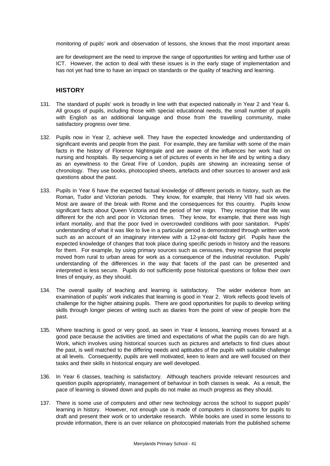monitoring of pupils' work and observation of lessons, she knows that the most important areas

are for development are the need to improve the range of opportunities for writing and further use of ICT. However, the action to deal with these issues is in the early stage of implementation and has not yet had time to have an impact on standards or the quality of teaching and learning.

#### **HISTORY**

- 131. The standard of pupils' work is broadly in line with that expected nationally in Year 2 and Year 6. All groups of pupils, including those with special educational needs, the small number of pupils with English as an additional language and those from the travelling community, make satisfactory progress over time.
- 132. Pupils now in Year 2, achieve well. They have the expected knowledge and understanding of significant events and people from the past. For example, they are familiar with some of the main facts in the history of Florence Nightingale and are aware of the influences her work had on nursing and hospitals. By sequencing a set of pictures of events in her life and by writing a diary as an eyewitness to the Great Fire of London, pupils are showing an increasing sense of chronology. They use books, photocopied sheets, artefacts and other sources to answer and ask questions about the past.
- 133. Pupils in Year 6 have the expected factual knowledge of different periods in history, such as the Roman, Tudor and Victorian periods. They know, for example, that Henry VIII had six wives. Most are aware of the break with Rome and the consequences for this country. Pupils know significant facts about Queen Victoria and the period of her reign. They recognise that life was different for the rich and poor in Victorian times. They know, for example, that there was high infant mortality, and that the poor lived in overcrowded conditions with poor sanitation. Pupils' understanding of what it was like to live in a particular period is demonstrated through written work such as an account of an imaginary interview with a 12-year-old factory girl. Pupils have the expected knowledge of changes that took place during specific periods in history and the reasons for them. For example, by using primary sources such as censuses, they recognise that people moved from rural to urban areas for work as a consequence of the industrial revolution. Pupils' understanding of the differences in the way that facets of the past can be presented and interpreted is less secure. Pupils do not sufficiently pose historical questions or follow their own lines of enquiry, as they should.
- 134. The overall quality of teaching and learning is satisfactory. The wider evidence from an examination of pupils' work indicates that learning is good in Year 2. Work reflects good levels of challenge for the higher attaining pupils. There are good opportunities for pupils to develop writing skills through longer pieces of writing such as diaries from the point of view of people from the past.
- 135. Where teaching is good or very good, as seen in Year 4 lessons, learning moves forward at a good pace because the activities are timed and expectations of what the pupils can do are high. Work, which involves using historical sources such as pictures and artefacts to find clues about the past, is well matched to the differing needs and aptitudes of the pupils with suitable challenge at all levels. Consequently, pupils are well motivated, keen to learn and are well focused on their tasks and their skills in historical enquiry are well developed.
- 136. In Year 6 classes, teaching is satisfactory. Although teachers provide relevant resources and question pupils appropriately, management of behaviour in both classes is weak. As a result, the pace of learning is slowed down and pupils do not make as much progress as they should.
- 137. There is some use of computers and other new technology across the school to support pupils' learning in history. However, not enough use is made of computers in classrooms for pupils to draft and present their work or to undertake research. While books are used in some lessons to provide information, there is an over reliance on photocopied materials from the published scheme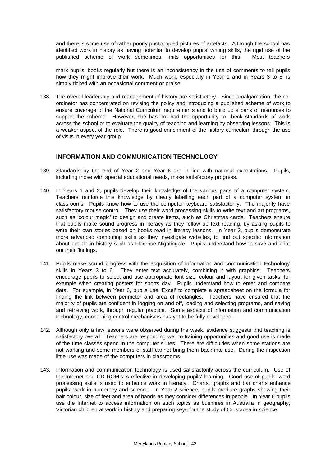and there is some use of rather poorly photocopied pictures of artefacts. Although the school has identified work in history as having potential to develop pupils' writing skills, the rigid use of the published scheme of work sometimes limits opportunities for this. Most teachers

mark pupils' books regularly but there is an inconsistency in the use of comments to tell pupils how they might improve their work. Much work, especially in Year 1 and in Years 3 to 6, is simply ticked with an occasional comment or praise.

138. The overall leadership and management of history are satisfactory. Since amalgamation, the coordinator has concentrated on revising the policy and introducing a published scheme of work to ensure coverage of the National Curriculum requirements and to build up a bank of resources to support the scheme. However, she has not had the opportunity to check standards of work across the school or to evaluate the quality of teaching and learning by observing lessons. This is a weaker aspect of the role. There is good enrichment of the history curriculum through the use of visits in every year group.

## **INFORMATION AND COMMUNICATION TECHNOLOGY**

- 139. Standards by the end of Year 2 and Year 6 are in line with national expectations. Pupils, including those with special educational needs, make satisfactory progress.
- 140. In Years 1 and 2, pupils develop their knowledge of the various parts of a computer system. Teachers reinforce this knowledge by clearly labelling each part of a computer system in classrooms. Pupils know how to use the computer keyboard satisfactorily. The majority have satisfactory mouse control. They use their word processing skills to write text and art programs, such as 'colour magic' to design and create items, such as Christmas cards. Teachers ensure that pupils make sound progress in literacy as they follow up text reading, by asking pupils to write their own stories based on books read in literacy lessons. In Year 2, pupils demonstrate more advanced computing skills as they investigate websites, to find out specific information about people in history such as Florence Nightingale. Pupils understand how to save and print out their findings.
- 141. Pupils make sound progress with the acquisition of information and communication technology skills in Years 3 to 6. They enter text accurately, combining it with graphics. Teachers encourage pupils to select and use appropriate font size, colour and layout for given tasks, for example when creating posters for sports day. Pupils understand how to enter and compare data. For example, in Year 6, pupils use 'Excel' to complete a spreadsheet on the formula for finding the link between perimeter and area of rectangles. Teachers have ensured that the majority of pupils are confident in logging on and off, loading and selecting programs, and saving and retrieving work, through regular practice. Some aspects of information and communication technology, concerning control mechanisms has yet to be fully developed.
- 142. Although only a few lessons were observed during the week, evidence suggests that teaching is satisfactory overall. Teachers are responding well to training opportunities and good use is made of the time classes spend in the computer suites. There are difficulties when some stations are not working and some members of staff cannot bring them back into use. During the inspection little use was made of the computers in classrooms.
- 143. Information and communication technology is used satisfactorily across the curriculum. Use of the Internet and CD ROM's is effective in developing pupils' learning. Good use of pupils' word processing skills is used to enhance work in literacy. Charts, graphs and bar charts enhance pupils' work in numeracy and science. In Year 2 science, pupils produce graphs showing their hair colour, size of feet and area of hands as they consider differences in people. In Year 6 pupils use the Internet to access information on such topics as bushfires in Australia in geography, Victorian children at work in history and preparing keys for the study of Crustacea in science.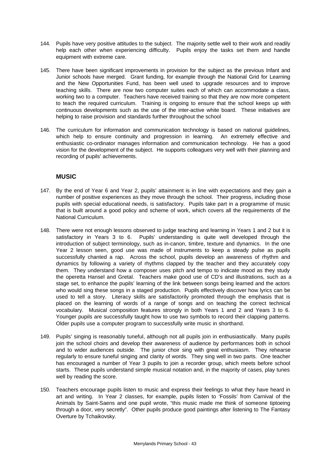- 144. Pupils have very positive attitudes to the subject. The majority settle well to their work and readily help each other when experiencing difficulty. Pupils enjoy the tasks set them and handle equipment with extreme care.
- 145. There have been significant improvements in provision for the subject as the previous Infant and Junior schools have merged. Grant funding, for example through the National Grid for Learning and the New Opportunities Fund, has been well used to upgrade resources and to improve teaching skills. There are now two computer suites each of which can accommodate a class, working two to a computer. Teachers have received training so that they are now more competent to teach the required curriculum. Training is ongoing to ensure that the school keeps up with continuous developments such as the use of the inter-active white board. These initiatives are helping to raise provision and standards further throughout the school
- 146. The curriculum for information and communication technology is based on national guidelines, which help to ensure continuity and progression in learning. An extremely effective and enthusiastic co-ordinator manages information and communication technology. He has a good vision for the development of the subject. He supports colleagues very well with their planning and recording of pupils' achievements.

#### **MUSIC**

- 147. By the end of Year 6 and Year 2, pupils' attainment is in line with expectations and they gain a number of positive experiences as they move through the school. Their progress, including those pupils with special educational needs, is satisfactory. Pupils take part in a programme of music that is built around a good policy and scheme of work, which covers all the requirements of the National Curriculum.
- 148. There were not enough lessons observed to judge teaching and learning in Years 1 and 2 but it is satisfactory in Years 3 to 6. Pupils' understanding is quite well developed through the introduction of subject terminology, such as in-canon, timbre, texture and dynamics. In the one Year 2 lesson seen, good use was made of instruments to keep a steady pulse as pupils successfully chanted a rap. Across the school, pupils develop an awareness of rhythm and dynamics by following a variety of rhythms clapped by the teacher and they accurately copy them. They understand how a composer uses pitch and tempo to indicate mood as they study the operetta Hansel and Gretal. Teachers make good use of CD's and illustrations, such as a stage set, to enhance the pupils' learning of the link between songs being learned and the actors who would sing these songs in a staged production. Pupils effectively discover how lyrics can be used to tell a story. Literacy skills are satisfactorily promoted through the emphasis that is placed on the learning of words of a range of songs and on teaching the correct technical vocabulary. Musical composition features strongly in both Years 1 and 2 and Years 3 to 6. Younger pupils are successfully taught how to use two symbols to record their clapping patterns. Older pupils use a computer program to successfully write music in shorthand.
- 149. Pupils' singing is reasonably tuneful, although not all pupils join in enthusiastically. Many pupils join the school choirs and develop their awareness of audience by performances both in school and to wider audiences outside. The junior choir sing with great enthusiasm. They rehearse regularly to ensure tuneful singing and clarity of words. They sing well in two parts. One teacher has encouraged a number of Year 3 pupils to join a recorder group, which meets before school starts. These pupils understand simple musical notation and, in the majority of cases, play tunes well by reading the score.
- 150. Teachers encourage pupils listen to music and express their feelings to what they have heard in art and writing. In Year 2 classes, for example, pupils listen to 'Fossils' from Carnival of the Animals by Saint-Saens and one pupil wrote, "this music made me think of someone tiptoeing through a door, very secretly". Other pupils produce good paintings after listening to The Fantasy Overture by Tchaikovsky.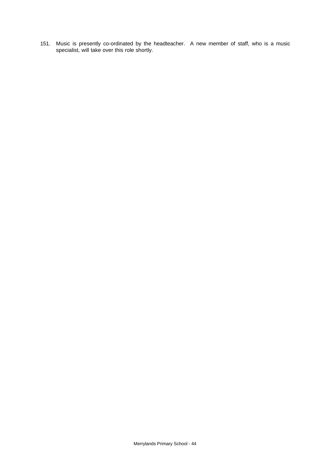151. Music is presently co-ordinated by the headteacher. A new member of staff, who is a music specialist, will take over this role shortly.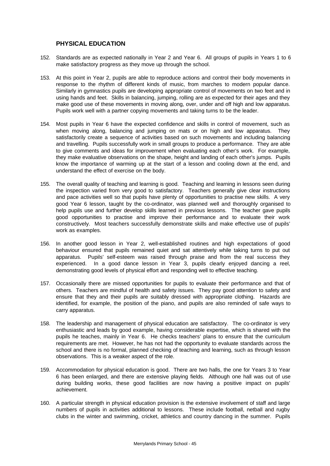#### **PHYSICAL EDUCATION**

- 152. Standards are as expected nationally in Year 2 and Year 6. All groups of pupils in Years 1 to 6 make satisfactory progress as they move up through the school.
- 153. At this point in Year 2, pupils are able to reproduce actions and control their body movements in response to the rhythm of different kinds of music, from marches to modern popular dance. Similarly in gymnastics pupils are developing appropriate control of movements on two feet and in using hands and feet. Skills in balancing, jumping, rolling are as expected for their ages and they make good use of these movements in moving along, over, under and off high and low apparatus. Pupils work well with a partner copying movements and taking turns to be the leader.
- 154. Most pupils in Year 6 have the expected confidence and skills in control of movement, such as when moving along, balancing and jumping on mats or on high and low apparatus. They satisfactorily create a sequence of activities based on such movements and including balancing and travelling. Pupils successfully work in small groups to produce a performance. They are able to give comments and ideas for improvement when evaluating each other's work. For example, they make evaluative observations on the shape, height and landing of each other's jumps. Pupils know the importance of warming up at the start of a lesson and cooling down at the end, and understand the effect of exercise on the body.
- 155. The overall quality of teaching and learning is good. Teaching and learning in lessons seen during the inspection varied from very good to satisfactory. Teachers generally give clear instructions and pace activities well so that pupils have plenty of opportunities to practise new skills. A very good Year 6 lesson, taught by the co-ordinator, was planned well and thoroughly organised to help pupils use and further develop skills learned in previous lessons. The teacher gave pupils good opportunities to practise and improve their performance and to evaluate their work constructively. Most teachers successfully demonstrate skills and make effective use of pupils' work as examples.
- 156. In another good lesson in Year 2, well-established routines and high expectations of good behaviour ensured that pupils remained quiet and sat attentively while taking turns to put out apparatus. Pupils' self-esteem was raised through praise and from the real success they experienced. In a good dance lesson in Year 3, pupils clearly enjoyed dancing a reel, demonstrating good levels of physical effort and responding well to effective teaching.
- 157. Occasionally there are missed opportunities for pupils to evaluate their performance and that of others. Teachers are mindful of health and safety issues. They pay good attention to safety and ensure that they and their pupils are suitably dressed with appropriate clothing. Hazards are identified, for example, the position of the piano, and pupils are also reminded of safe ways to carry apparatus.
- 158. The leadership and management of physical education are satisfactory. The co-ordinator is very enthusiastic and leads by good example, having considerable expertise, which is shared with the pupils he teaches, mainly in Year 6. He checks teachers' plans to ensure that the curriculum requirements are met. However, he has not had the opportunity to evaluate standards across the school and there is no formal, planned checking of teaching and learning, such as through lesson observations. This is a weaker aspect of the role.
- 159. Accommodation for physical education is good. There are two halls, the one for Years 3 to Year 6 has been enlarged, and there are extensive playing fields. Although one hall was out of use during building works, these good facilities are now having a positive impact on pupils' achievement.
- 160. A particular strength in physical education provision is the extensive involvement of staff and large numbers of pupils in activities additional to lessons. These include football, netball and rugby clubs in the winter and swimming, cricket, athletics and country dancing in the summer. Pupils